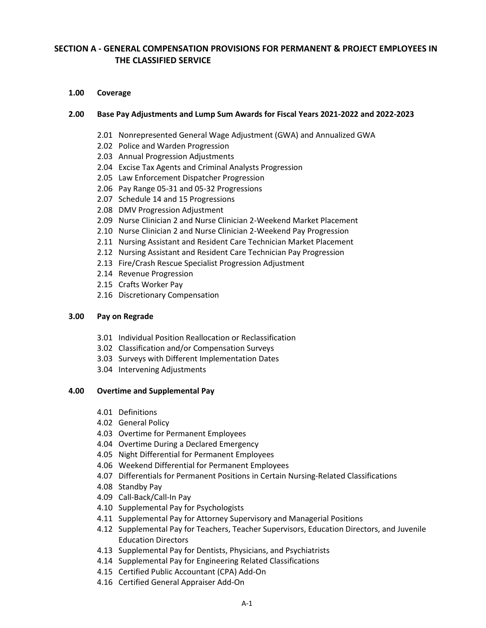# **SECTION A - GENERAL COMPENSATION PROVISIONS FOR PERMANENT & PROJECT EMPLOYEES IN THE CLASSIFIED SERVICE**

### **1.00 Coverage**

# **2.00 Base Pay Adjustments and Lump Sum Awards for Fiscal Years 2021-2022 and 2022-2023**

- 2.01 Nonrepresented General Wage Adjustment (GWA) and Annualized GWA
- 2.02 Police and Warden Progression
- 2.03 Annual Progression Adjustments
- 2.04 Excise Tax Agents and Criminal Analysts Progression
- 2.05 Law Enforcement Dispatcher Progression
- 2.06 Pay Range 05-31 and 05-32 Progressions
- 2.07 Schedule 14 and 15 Progressions
- 2.08 DMV Progression Adjustment
- 2.09 Nurse Clinician 2 and Nurse Clinician 2-Weekend Market Placement
- 2.10 Nurse Clinician 2 and Nurse Clinician 2-Weekend Pay Progression
- 2.11 Nursing Assistant and Resident Care Technician Market Placement
- 2.12 Nursing Assistant and Resident Care Technician Pay Progression
- 2.13 Fire/Crash Rescue Specialist Progression Adjustment
- 2.14 Revenue Progression
- 2.15 Crafts Worker Pay
- 2.16 Discretionary Compensation

### **3.00 Pay on Regrade**

- 3.01 Individual Position Reallocation or Reclassification
- 3.02 Classification and/or Compensation Surveys
- 3.03 Surveys with Different Implementation Dates
- 3.04 Intervening Adjustments

### **4.00 Overtime and Supplemental Pay**

- 4.01 Definitions
- 4.02 General Policy
- 4.03 Overtime for Permanent Employees
- 4.04 Overtime During a Declared Emergency
- 4.05 Night Differential for Permanent Employees
- 4.06 Weekend Differential for Permanent Employees
- 4.07 Differentials for Permanent Positions in Certain Nursing-Related Classifications
- 4.08 Standby Pay
- 4.09 Call-Back/Call-In Pay
- 4.10 Supplemental Pay for Psychologists
- 4.11 Supplemental Pay for Attorney Supervisory and Managerial Positions
- 4.12 Supplemental Pay for Teachers, Teacher Supervisors, Education Directors, and Juvenile Education Directors
- 4.13 Supplemental Pay for Dentists, Physicians, and Psychiatrists
- 4.14 Supplemental Pay for Engineering Related Classifications
- 4.15 Certified Public Accountant (CPA) Add-On
- 4.16 Certified General Appraiser Add-On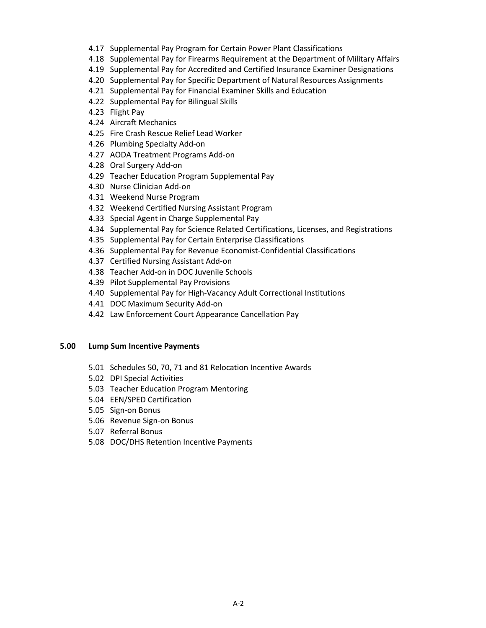- 4.17 Supplemental Pay Program for Certain Power Plant Classifications
- 4.18 Supplemental Pay for Firearms Requirement at the Department of Military Affairs
- 4.19 Supplemental Pay for Accredited and Certified Insurance Examiner Designations
- 4.20 Supplemental Pay for Specific Department of Natural Resources Assignments
- 4.21 Supplemental Pay for Financial Examiner Skills and Education
- 4.22 Supplemental Pay for Bilingual Skills
- 4.23 Flight Pay
- 4.24 Aircraft Mechanics
- 4.25 Fire Crash Rescue Relief Lead Worker
- 4.26 Plumbing Specialty Add-on
- 4.27 AODA Treatment Programs Add-on
- 4.28 Oral Surgery Add-on
- 4.29 Teacher Education Program Supplemental Pay
- 4.30 Nurse Clinician Add-on
- 4.31 Weekend Nurse Program
- 4.32 Weekend Certified Nursing Assistant Program
- 4.33 Special Agent in Charge Supplemental Pay
- 4.34 Supplemental Pay for Science Related Certifications, Licenses, and Registrations
- 4.35 Supplemental Pay for Certain Enterprise Classifications
- 4.36 Supplemental Pay for Revenue Economist-Confidential Classifications
- 4.37 Certified Nursing Assistant Add-on
- 4.38 Teacher Add-on in DOC Juvenile Schools
- 4.39 Pilot Supplemental Pay Provisions
- 4.40 Supplemental Pay for High-Vacancy Adult Correctional Institutions
- 4.41 DOC Maximum Security Add-on
- 4.42 Law Enforcement Court Appearance Cancellation Pay

# **5.00 Lump Sum Incentive Payments**

- 5.01 Schedules 50, 70, 71 and 81 Relocation Incentive Awards
- 5.02 DPI Special Activities
- 5.03 Teacher Education Program Mentoring
- 5.04 EEN/SPED Certification
- 5.05 Sign-on Bonus
- 5.06 Revenue Sign-on Bonus
- 5.07 Referral Bonus
- 5.08 DOC/DHS Retention Incentive Payments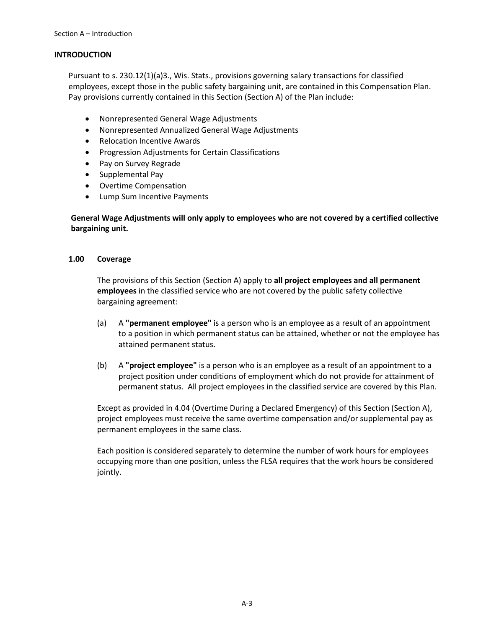# **INTRODUCTION**

Pursuant to s. 230.12(1)(a)3., Wis. Stats., provisions governing salary transactions for classified employees, except those in the public safety bargaining unit, are contained in this Compensation Plan. Pay provisions currently contained in this Section (Section A) of the Plan include:

- Nonrepresented General Wage Adjustments
- Nonrepresented Annualized General Wage Adjustments
- Relocation Incentive Awards
- Progression Adjustments for Certain Classifications
- Pay on Survey Regrade
- Supplemental Pay
- Overtime Compensation
- Lump Sum Incentive Payments

**General Wage Adjustments will only apply to employees who are not covered by a certified collective bargaining unit.**

# **1.00 Coverage**

The provisions of this Section (Section A) apply to **all project employees and all permanent employees** in the classified service who are not covered by the public safety collective bargaining agreement:

- (a) A **"permanent employee"** is a person who is an employee as a result of an appointment to a position in which permanent status can be attained, whether or not the employee has attained permanent status.
- (b) A **"project employee"** is a person who is an employee as a result of an appointment to a project position under conditions of employment which do not provide for attainment of permanent status. All project employees in the classified service are covered by this Plan.

Except as provided in 4.04 (Overtime During a Declared Emergency) of this Section (Section A), project employees must receive the same overtime compensation and/or supplemental pay as permanent employees in the same class.

Each position is considered separately to determine the number of work hours for employees occupying more than one position, unless the FLSA requires that the work hours be considered jointly.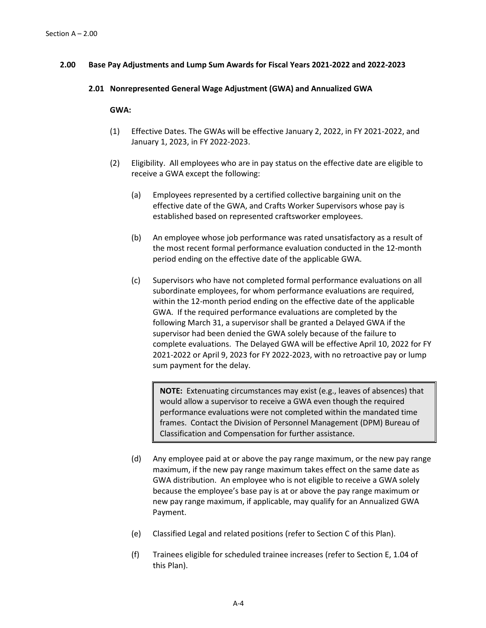### **2.00 Base Pay Adjustments and Lump Sum Awards for Fiscal Years 2021-2022 and 2022-2023**

#### **2.01 Nonrepresented General Wage Adjustment (GWA) and Annualized GWA**

### **GWA:**

- (1) Effective Dates. The GWAs will be effective January 2, 2022, in FY 2021-2022, and January 1, 2023, in FY 2022-2023.
- (2) Eligibility. All employees who are in pay status on the effective date are eligible to receive a GWA except the following:
	- (a) Employees represented by a certified collective bargaining unit on the effective date of the GWA, and Crafts Worker Supervisors whose pay is established based on represented craftsworker employees.
	- (b) An employee whose job performance was rated unsatisfactory as a result of the most recent formal performance evaluation conducted in the 12-month period ending on the effective date of the applicable GWA.
	- (c) Supervisors who have not completed formal performance evaluations on all subordinate employees, for whom performance evaluations are required, within the 12-month period ending on the effective date of the applicable GWA. If the required performance evaluations are completed by the following March 31, a supervisor shall be granted a Delayed GWA if the supervisor had been denied the GWA solely because of the failure to complete evaluations. The Delayed GWA will be effective April 10, 2022 for FY 2021-2022 or April 9, 2023 for FY 2022-2023, with no retroactive pay or lump sum payment for the delay.

**NOTE:** Extenuating circumstances may exist (e.g., leaves of absences) that would allow a supervisor to receive a GWA even though the required performance evaluations were not completed within the mandated time frames. Contact the Division of Personnel Management (DPM) Bureau of Classification and Compensation for further assistance.

- (d) Any employee paid at or above the pay range maximum, or the new pay range maximum, if the new pay range maximum takes effect on the same date as GWA distribution. An employee who is not eligible to receive a GWA solely because the employee's base pay is at or above the pay range maximum or new pay range maximum, if applicable, may qualify for an Annualized GWA Payment.
- (e) Classified Legal and related positions (refer to Section C of this Plan).
- (f) Trainees eligible for scheduled trainee increases (refer to Section E, 1.04 of this Plan).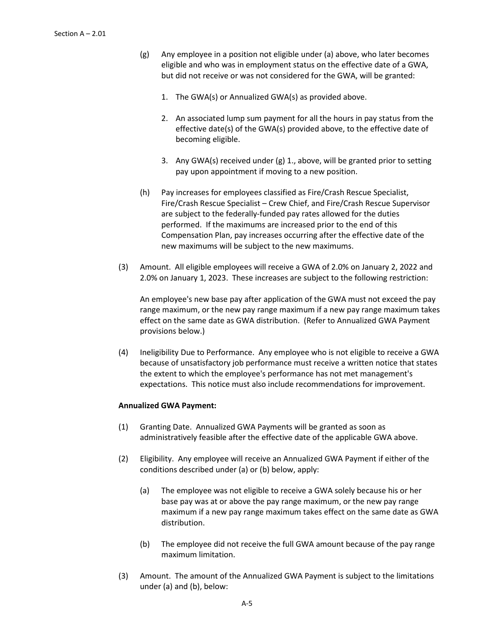- (g) Any employee in a position not eligible under (a) above, who later becomes eligible and who was in employment status on the effective date of a GWA, but did not receive or was not considered for the GWA, will be granted:
	- 1. The GWA(s) or Annualized GWA(s) as provided above.
	- 2. An associated lump sum payment for all the hours in pay status from the effective date(s) of the GWA(s) provided above, to the effective date of becoming eligible.
	- 3. Any GWA(s) received under (g) 1., above, will be granted prior to setting pay upon appointment if moving to a new position.
- (h) Pay increases for employees classified as Fire/Crash Rescue Specialist, Fire/Crash Rescue Specialist – Crew Chief, and Fire/Crash Rescue Supervisor are subject to the federally-funded pay rates allowed for the duties performed. If the maximums are increased prior to the end of this Compensation Plan, pay increases occurring after the effective date of the new maximums will be subject to the new maximums.
- (3) Amount. All eligible employees will receive a GWA of 2.0% on January 2, 2022 and 2.0% on January 1, 2023. These increases are subject to the following restriction:

An employee's new base pay after application of the GWA must not exceed the pay range maximum, or the new pay range maximum if a new pay range maximum takes effect on the same date as GWA distribution. (Refer to Annualized GWA Payment provisions below.)

(4) Ineligibility Due to Performance. Any employee who is not eligible to receive a GWA because of unsatisfactory job performance must receive a written notice that states the extent to which the employee's performance has not met management's expectations. This notice must also include recommendations for improvement.

### **Annualized GWA Payment:**

- (1) Granting Date. Annualized GWA Payments will be granted as soon as administratively feasible after the effective date of the applicable GWA above.
- (2) Eligibility. Any employee will receive an Annualized GWA Payment if either of the conditions described under (a) or (b) below, apply:
	- (a) The employee was not eligible to receive a GWA solely because his or her base pay was at or above the pay range maximum, or the new pay range maximum if a new pay range maximum takes effect on the same date as GWA distribution.
	- (b) The employee did not receive the full GWA amount because of the pay range maximum limitation.
- (3) Amount. The amount of the Annualized GWA Payment is subject to the limitations under (a) and (b), below: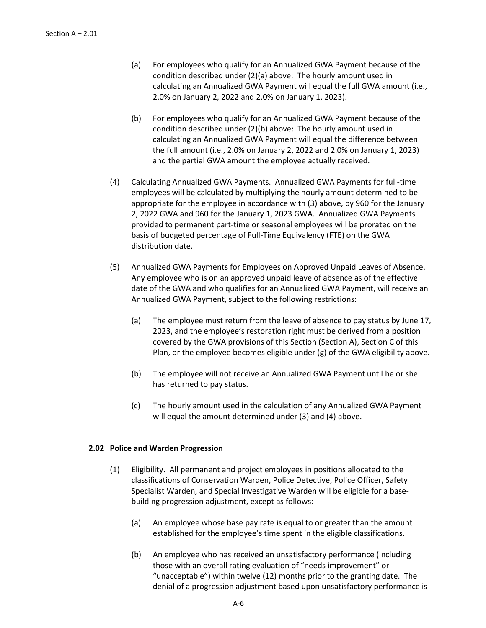- (a) For employees who qualify for an Annualized GWA Payment because of the condition described under (2)(a) above: The hourly amount used in calculating an Annualized GWA Payment will equal the full GWA amount (i.e., 2.0% on January 2, 2022 and 2.0% on January 1, 2023).
- (b) For employees who qualify for an Annualized GWA Payment because of the condition described under (2)(b) above: The hourly amount used in calculating an Annualized GWA Payment will equal the difference between the full amount (i.e., 2.0% on January 2, 2022 and 2.0% on January 1, 2023) and the partial GWA amount the employee actually received.
- (4) Calculating Annualized GWA Payments. Annualized GWA Payments for full-time employees will be calculated by multiplying the hourly amount determined to be appropriate for the employee in accordance with (3) above, by 960 for the January 2, 2022 GWA and 960 for the January 1, 2023 GWA. Annualized GWA Payments provided to permanent part-time or seasonal employees will be prorated on the basis of budgeted percentage of Full-Time Equivalency (FTE) on the GWA distribution date.
- (5) Annualized GWA Payments for Employees on Approved Unpaid Leaves of Absence. Any employee who is on an approved unpaid leave of absence as of the effective date of the GWA and who qualifies for an Annualized GWA Payment, will receive an Annualized GWA Payment, subject to the following restrictions:
	- (a) The employee must return from the leave of absence to pay status by June 17, 2023, and the employee's restoration right must be derived from a position covered by the GWA provisions of this Section (Section A), Section C of this Plan, or the employee becomes eligible under (g) of the GWA eligibility above.
	- (b) The employee will not receive an Annualized GWA Payment until he or she has returned to pay status.
	- (c) The hourly amount used in the calculation of any Annualized GWA Payment will equal the amount determined under (3) and (4) above.

### **2.02 Police and Warden Progression**

- (1) Eligibility. All permanent and project employees in positions allocated to the classifications of Conservation Warden, Police Detective, Police Officer, Safety Specialist Warden, and Special Investigative Warden will be eligible for a basebuilding progression adjustment, except as follows:
	- (a) An employee whose base pay rate is equal to or greater than the amount established for the employee's time spent in the eligible classifications.
	- (b) An employee who has received an unsatisfactory performance (including those with an overall rating evaluation of "needs improvement" or "unacceptable") within twelve (12) months prior to the granting date. The denial of a progression adjustment based upon unsatisfactory performance is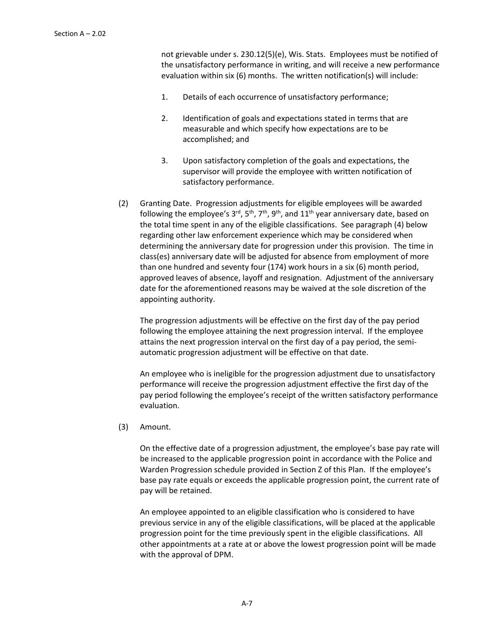not grievable under s. 230.12(5)(e), Wis. Stats. Employees must be notified of the unsatisfactory performance in writing, and will receive a new performance evaluation within six (6) months. The written notification(s) will include:

- 1. Details of each occurrence of unsatisfactory performance;
- 2. Identification of goals and expectations stated in terms that are measurable and which specify how expectations are to be accomplished; and
- 3. Upon satisfactory completion of the goals and expectations, the supervisor will provide the employee with written notification of satisfactory performance.
- (2) Granting Date. Progression adjustments for eligible employees will be awarded following the employee's  $3<sup>rd</sup>$ ,  $5<sup>th</sup>$ ,  $7<sup>th</sup>$ ,  $9<sup>th</sup>$ , and  $11<sup>th</sup>$  year anniversary date, based on the total time spent in any of the eligible classifications. See paragraph (4) below regarding other law enforcement experience which may be considered when determining the anniversary date for progression under this provision. The time in class(es) anniversary date will be adjusted for absence from employment of more than one hundred and seventy four (174) work hours in a six (6) month period, approved leaves of absence, layoff and resignation. Adjustment of the anniversary date for the aforementioned reasons may be waived at the sole discretion of the appointing authority.

The progression adjustments will be effective on the first day of the pay period following the employee attaining the next progression interval. If the employee attains the next progression interval on the first day of a pay period, the semiautomatic progression adjustment will be effective on that date.

An employee who is ineligible for the progression adjustment due to unsatisfactory performance will receive the progression adjustment effective the first day of the pay period following the employee's receipt of the written satisfactory performance evaluation.

(3) Amount.

On the effective date of a progression adjustment, the employee's base pay rate will be increased to the applicable progression point in accordance with the Police and Warden Progression schedule provided in Section Z of this Plan. If the employee's base pay rate equals or exceeds the applicable progression point, the current rate of pay will be retained.

An employee appointed to an eligible classification who is considered to have previous service in any of the eligible classifications, will be placed at the applicable progression point for the time previously spent in the eligible classifications. All other appointments at a rate at or above the lowest progression point will be made with the approval of DPM.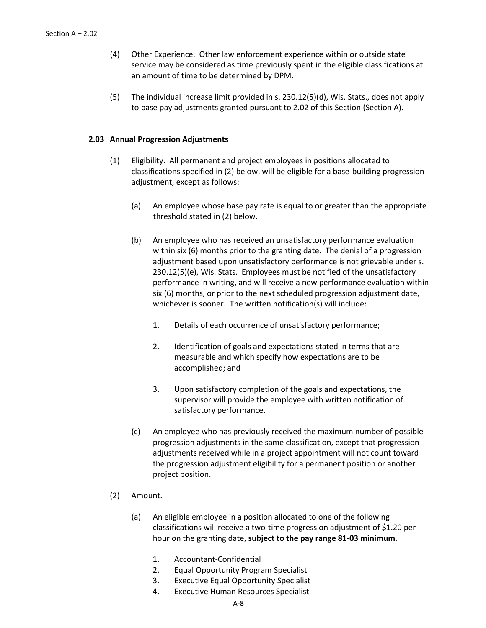- (4) Other Experience. Other law enforcement experience within or outside state service may be considered as time previously spent in the eligible classifications at an amount of time to be determined by DPM.
- (5) The individual increase limit provided in s. 230.12(5)(d), Wis. Stats., does not apply to base pay adjustments granted pursuant to 2.02 of this Section (Section A).

### **2.03 Annual Progression Adjustments**

- (1) Eligibility. All permanent and project employees in positions allocated to classifications specified in (2) below, will be eligible for a base-building progression adjustment, except as follows:
	- (a) An employee whose base pay rate is equal to or greater than the appropriate threshold stated in (2) below.
	- (b) An employee who has received an unsatisfactory performance evaluation within six (6) months prior to the granting date. The denial of a progression adjustment based upon unsatisfactory performance is not grievable under s. 230.12(5)(e), Wis. Stats. Employees must be notified of the unsatisfactory performance in writing, and will receive a new performance evaluation within six (6) months, or prior to the next scheduled progression adjustment date, whichever is sooner. The written notification(s) will include:
		- 1. Details of each occurrence of unsatisfactory performance;
		- 2. Identification of goals and expectations stated in terms that are measurable and which specify how expectations are to be accomplished; and
		- 3. Upon satisfactory completion of the goals and expectations, the supervisor will provide the employee with written notification of satisfactory performance.
	- (c) An employee who has previously received the maximum number of possible progression adjustments in the same classification, except that progression adjustments received while in a project appointment will not count toward the progression adjustment eligibility for a permanent position or another project position.
- (2) Amount.
	- (a) An eligible employee in a position allocated to one of the following classifications will receive a two-time progression adjustment of \$1.20 per hour on the granting date, **subject to the pay range 81-03 minimum**.
		- 1. Accountant-Confidential
		- 2. Equal Opportunity Program Specialist
		- 3. Executive Equal Opportunity Specialist
		- 4. Executive Human Resources Specialist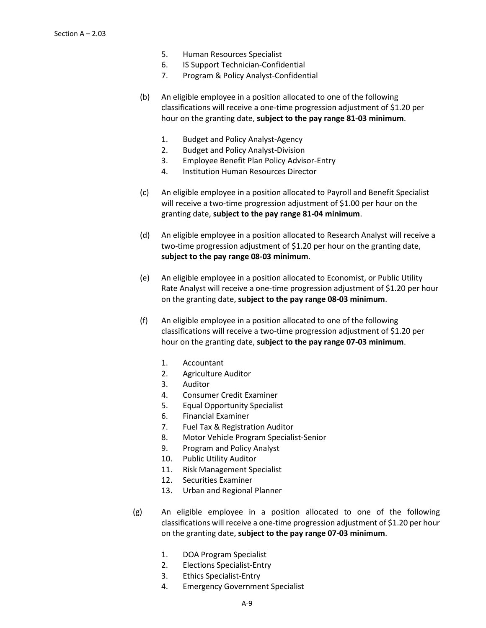- 5. Human Resources Specialist
- 6. IS Support Technician-Confidential
- 7. Program & Policy Analyst-Confidential
- (b) An eligible employee in a position allocated to one of the following classifications will receive a one-time progression adjustment of \$1.20 per hour on the granting date, **subject to the pay range 81-03 minimum**.
	- 1. Budget and Policy Analyst-Agency
	- 2. Budget and Policy Analyst-Division
	- 3. Employee Benefit Plan Policy Advisor-Entry
	- 4. Institution Human Resources Director
- (c) An eligible employee in a position allocated to Payroll and Benefit Specialist will receive a two-time progression adjustment of \$1.00 per hour on the granting date, **subject to the pay range 81-04 minimum**.
- (d) An eligible employee in a position allocated to Research Analyst will receive a two-time progression adjustment of \$1.20 per hour on the granting date, **subject to the pay range 08-03 minimum**.
- (e) An eligible employee in a position allocated to Economist, or Public Utility Rate Analyst will receive a one-time progression adjustment of \$1.20 per hour on the granting date, **subject to the pay range 08-03 minimum**.
- (f) An eligible employee in a position allocated to one of the following classifications will receive a two-time progression adjustment of \$1.20 per hour on the granting date, **subject to the pay range 07-03 minimum**.
	- 1. Accountant
	- 2. Agriculture Auditor
	- 3. Auditor
	- 4. Consumer Credit Examiner
	- 5. Equal Opportunity Specialist
	- 6. Financial Examiner
	- 7. Fuel Tax & Registration Auditor
	- 8. Motor Vehicle Program Specialist-Senior
	- 9. Program and Policy Analyst
	- 10. Public Utility Auditor
	- 11. Risk Management Specialist
	- 12. Securities Examiner
	- 13. Urban and Regional Planner
- (g) An eligible employee in a position allocated to one of the following classifications will receive a one-time progression adjustment of \$1.20 per hour on the granting date, **subject to the pay range 07-03 minimum**.
	- 1. DOA Program Specialist
	- 2. Elections Specialist-Entry
	- 3. Ethics Specialist-Entry
	- 4. Emergency Government Specialist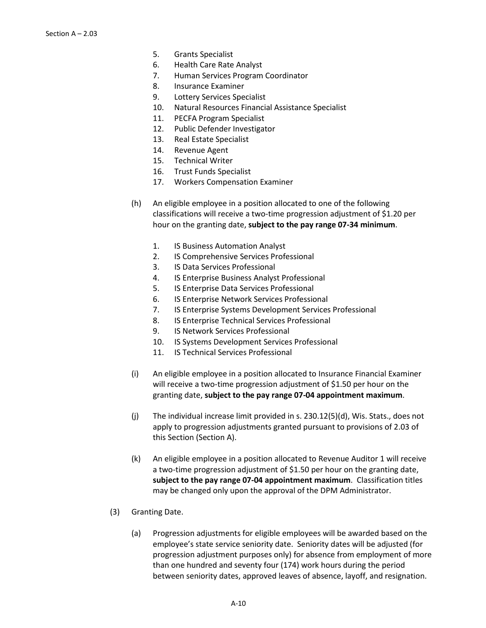- 5. Grants Specialist
- 6. Health Care Rate Analyst
- 7. Human Services Program Coordinator
- 8. Insurance Examiner
- 9. Lottery Services Specialist
- 10. Natural Resources Financial Assistance Specialist
- 11. PECFA Program Specialist
- 12. Public Defender Investigator
- 13. Real Estate Specialist
- 14. Revenue Agent
- 15. Technical Writer
- 16. Trust Funds Specialist
- 17. Workers Compensation Examiner
- (h) An eligible employee in a position allocated to one of the following classifications will receive a two-time progression adjustment of \$1.20 per hour on the granting date, **subject to the pay range 07-34 minimum**.
	- 1. IS Business Automation Analyst
	- 2. IS Comprehensive Services Professional
	- 3. IS Data Services Professional
	- 4. IS Enterprise Business Analyst Professional
	- 5. IS Enterprise Data Services Professional
	- 6. IS Enterprise Network Services Professional
	- 7. IS Enterprise Systems Development Services Professional
	- 8. IS Enterprise Technical Services Professional
	- 9. IS Network Services Professional
	- 10. IS Systems Development Services Professional
	- 11. IS Technical Services Professional
- (i) An eligible employee in a position allocated to Insurance Financial Examiner will receive a two-time progression adjustment of \$1.50 per hour on the granting date, **subject to the pay range 07-04 appointment maximum**.
- (j) The individual increase limit provided in s. 230.12(5)(d), Wis. Stats., does not apply to progression adjustments granted pursuant to provisions of 2.03 of this Section (Section A).
- (k) An eligible employee in a position allocated to Revenue Auditor 1 will receive a two-time progression adjustment of \$1.50 per hour on the granting date, **subject to the pay range 07-04 appointment maximum**. Classification titles may be changed only upon the approval of the DPM Administrator.
- (3) Granting Date.
	- (a) Progression adjustments for eligible employees will be awarded based on the employee's state service seniority date. Seniority dates will be adjusted (for progression adjustment purposes only) for absence from employment of more than one hundred and seventy four (174) work hours during the period between seniority dates, approved leaves of absence, layoff, and resignation.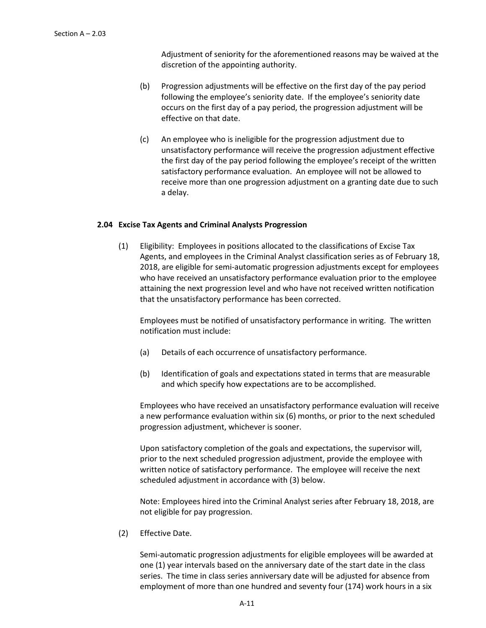Adjustment of seniority for the aforementioned reasons may be waived at the discretion of the appointing authority.

- (b) Progression adjustments will be effective on the first day of the pay period following the employee's seniority date. If the employee's seniority date occurs on the first day of a pay period, the progression adjustment will be effective on that date.
- (c) An employee who is ineligible for the progression adjustment due to unsatisfactory performance will receive the progression adjustment effective the first day of the pay period following the employee's receipt of the written satisfactory performance evaluation. An employee will not be allowed to receive more than one progression adjustment on a granting date due to such a delay.

### **2.04 Excise Tax Agents and Criminal Analysts Progression**

(1) Eligibility: Employees in positions allocated to the classifications of Excise Tax Agents, and employees in the Criminal Analyst classification series as of February 18, 2018, are eligible for semi-automatic progression adjustments except for employees who have received an unsatisfactory performance evaluation prior to the employee attaining the next progression level and who have not received written notification that the unsatisfactory performance has been corrected.

Employees must be notified of unsatisfactory performance in writing. The written notification must include:

- (a) Details of each occurrence of unsatisfactory performance.
- (b) Identification of goals and expectations stated in terms that are measurable and which specify how expectations are to be accomplished.

Employees who have received an unsatisfactory performance evaluation will receive a new performance evaluation within six (6) months, or prior to the next scheduled progression adjustment, whichever is sooner.

Upon satisfactory completion of the goals and expectations, the supervisor will, prior to the next scheduled progression adjustment, provide the employee with written notice of satisfactory performance. The employee will receive the next scheduled adjustment in accordance with (3) below.

Note: Employees hired into the Criminal Analyst series after February 18, 2018, are not eligible for pay progression.

(2) Effective Date.

Semi-automatic progression adjustments for eligible employees will be awarded at one (1) year intervals based on the anniversary date of the start date in the class series. The time in class series anniversary date will be adjusted for absence from employment of more than one hundred and seventy four (174) work hours in a six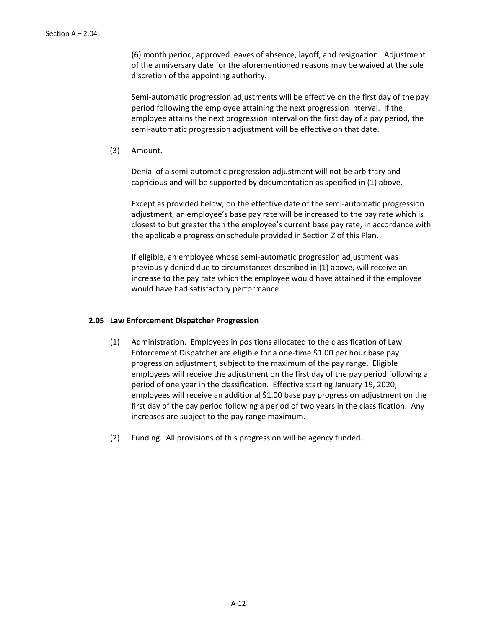(6) month period, approved leaves of absence, layoff, and resignation. Adjustment of the anniversary date for the aforementioned reasons may be waived at the sole discretion of the appointing authority.

Semi-automatic progression adjustments will be effective on the first day of the pay period following the employee attaining the next progression interval. If the employee attains the next progression interval on the first day of a pay period, the semi-automatic progression adjustment will be effective on that date.

(3) Amount.

Denial of a semi-automatic progression adjustment will not be arbitrary and capricious and will be supported by documentation as specified in (1) above.

Except as provided below, on the effective date of the semi-automatic progression adjustment, an employee's base pay rate will be increased to the pay rate which is closest to but greater than the employee's current base pay rate, in accordance with the applicable progression schedule provided in Section Z of this Plan.

If eligible, an employee whose semi-automatic progression adjustment was previously denied due to circumstances described in (1) above, will receive an increase to the pay rate which the employee would have attained if the employee would have had satisfactory performance.

### **2.05 Law Enforcement Dispatcher Progression**

- (1) Administration. Employees in positions allocated to the classification of Law Enforcement Dispatcher are eligible for a one-time \$1.00 per hour base pay progression adjustment, subject to the maximum of the pay range. Eligible employees will receive the adjustment on the first day of the pay period following a period of one year in the classification. Effective starting January 19, 2020, employees will receive an additional \$1.00 base pay progression adjustment on the first day of the pay period following a period of two years in the classification. Any increases are subject to the pay range maximum.
- (2) Funding. All provisions of this progression will be agency funded.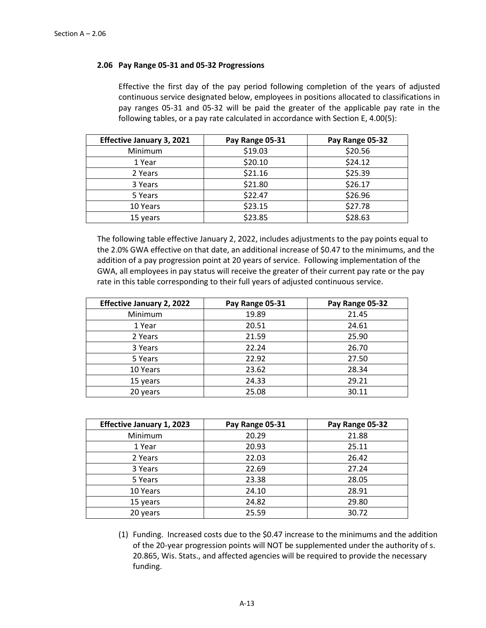## **2.06 Pay Range 05-31 and 05-32 Progressions**

Effective the first day of the pay period following completion of the years of adjusted continuous service designated below, employees in positions allocated to classifications in pay ranges 05-31 and 05-32 will be paid the greater of the applicable pay rate in the following tables, or a pay rate calculated in accordance with Section E, 4.00(5):

| <b>Effective January 3, 2021</b> | Pay Range 05-31 | Pay Range 05-32 |
|----------------------------------|-----------------|-----------------|
| Minimum                          | \$19.03         | \$20.56         |
| 1 Year                           | \$20.10         | \$24.12         |
| 2 Years                          | \$21.16         | \$25.39         |
| 3 Years                          | \$21.80         | \$26.17         |
| 5 Years                          | \$22.47         | \$26.96         |
| 10 Years                         | \$23.15         | \$27.78         |
| 15 years                         | \$23.85         | \$28.63         |

The following table effective January 2, 2022, includes adjustments to the pay points equal to the 2.0% GWA effective on that date, an additional increase of \$0.47 to the minimums, and the addition of a pay progression point at 20 years of service. Following implementation of the GWA, all employees in pay status will receive the greater of their current pay rate or the pay rate in this table corresponding to their full years of adjusted continuous service.

| <b>Effective January 2, 2022</b> | Pay Range 05-31 | Pay Range 05-32 |
|----------------------------------|-----------------|-----------------|
| Minimum                          | 19.89           | 21.45           |
| 1 Year                           | 20.51           | 24.61           |
| 2 Years                          | 21.59           | 25.90           |
| 3 Years                          | 22.24           | 26.70           |
| 5 Years                          | 22.92           | 27.50           |
| 10 Years                         | 23.62           | 28.34           |
| 15 years                         | 24.33           | 29.21           |
| 20 years                         | 25.08           | 30.11           |

| <b>Effective January 1, 2023</b> | Pay Range 05-31 | Pay Range 05-32 |
|----------------------------------|-----------------|-----------------|
| Minimum                          | 20.29           | 21.88           |
| 1 Year                           | 20.93           | 25.11           |
| 2 Years                          | 22.03           | 26.42           |
| 3 Years                          | 22.69           | 27.24           |
| 5 Years                          | 23.38           | 28.05           |
| 10 Years                         | 24.10           | 28.91           |
| 15 years                         | 24.82           | 29.80           |
| 20 years                         | 25.59           | 30.72           |

(1) Funding. Increased costs due to the \$0.47 increase to the minimums and the addition of the 20-year progression points will NOT be supplemented under the authority of s. 20.865, Wis. Stats., and affected agencies will be required to provide the necessary funding.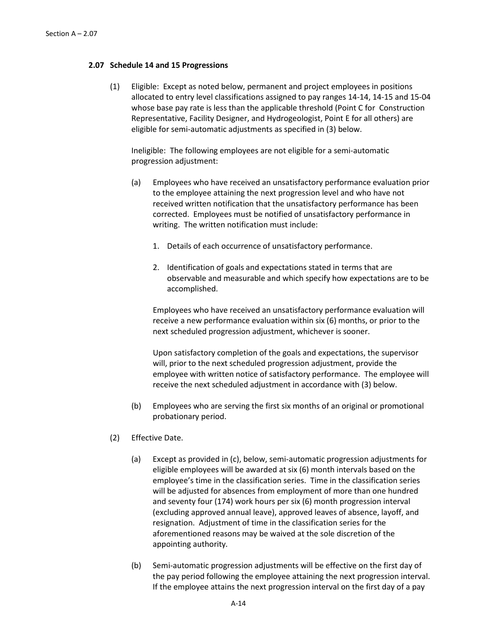### **2.07 Schedule 14 and 15 Progressions**

(1) Eligible: Except as noted below, permanent and project employees in positions allocated to entry level classifications assigned to pay ranges 14-14, 14-15 and 15-04 whose base pay rate is less than the applicable threshold (Point C for Construction Representative, Facility Designer, and Hydrogeologist, Point E for all others) are eligible for semi-automatic adjustments as specified in (3) below.

Ineligible: The following employees are not eligible for a semi-automatic progression adjustment:

- (a) Employees who have received an unsatisfactory performance evaluation prior to the employee attaining the next progression level and who have not received written notification that the unsatisfactory performance has been corrected. Employees must be notified of unsatisfactory performance in writing. The written notification must include:
	- 1. Details of each occurrence of unsatisfactory performance.
	- 2. Identification of goals and expectations stated in terms that are observable and measurable and which specify how expectations are to be accomplished.

Employees who have received an unsatisfactory performance evaluation will receive a new performance evaluation within six (6) months, or prior to the next scheduled progression adjustment, whichever is sooner.

Upon satisfactory completion of the goals and expectations, the supervisor will, prior to the next scheduled progression adjustment, provide the employee with written notice of satisfactory performance. The employee will receive the next scheduled adjustment in accordance with (3) below.

- (b) Employees who are serving the first six months of an original or promotional probationary period.
- (2) Effective Date.
	- (a) Except as provided in (c), below, semi-automatic progression adjustments for eligible employees will be awarded at six (6) month intervals based on the employee's time in the classification series. Time in the classification series will be adjusted for absences from employment of more than one hundred and seventy four (174) work hours per six (6) month progression interval (excluding approved annual leave), approved leaves of absence, layoff, and resignation. Adjustment of time in the classification series for the aforementioned reasons may be waived at the sole discretion of the appointing authority*.*
	- (b) Semi-automatic progression adjustments will be effective on the first day of the pay period following the employee attaining the next progression interval. If the employee attains the next progression interval on the first day of a pay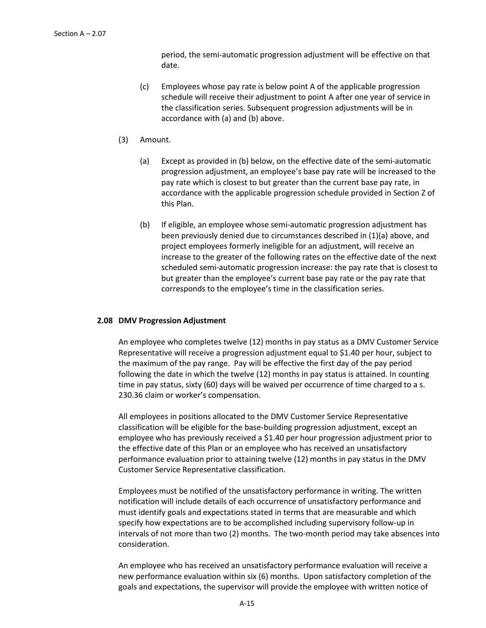period, the semi-automatic progression adjustment will be effective on that date.

- (c) Employees whose pay rate is below point A of the applicable progression schedule will receive their adjustment to point A after one year of service in the classification series. Subsequent progression adjustments will be in accordance with (a) and (b) above.
- (3) Amount.
	- (a) Except as provided in (b) below, on the effective date of the semi-automatic progression adjustment, an employee's base pay rate will be increased to the pay rate which is closest to but greater than the current base pay rate, in accordance with the applicable progression schedule provided in Section Z of this Plan.
	- (b) If eligible, an employee whose semi-automatic progression adjustment has been previously denied due to circumstances described in (1)(a) above, and project employees formerly ineligible for an adjustment, will receive an increase to the greater of the following rates on the effective date of the next scheduled semi-automatic progression increase: the pay rate that is closest to but greater than the employee's current base pay rate or the pay rate that corresponds to the employee's time in the classification series.

### **2.08 DMV Progression Adjustment**

An employee who completes twelve (12) months in pay status as a DMV Customer Service Representative will receive a progression adjustment equal to \$1.40 per hour, subject to the maximum of the pay range. Pay will be effective the first day of the pay period following the date in which the twelve (12) months in pay status is attained. In counting time in pay status, sixty (60) days will be waived per occurrence of time charged to a s. 230.36 claim or worker's compensation.

All employees in positions allocated to the DMV Customer Service Representative classification will be eligible for the base-building progression adjustment, except an employee who has previously received a \$1.40 per hour progression adjustment prior to the effective date of this Plan or an employee who has received an unsatisfactory performance evaluation prior to attaining twelve (12) months in pay status in the DMV Customer Service Representative classification.

Employees must be notified of the unsatisfactory performance in writing. The written notification will include details of each occurrence of unsatisfactory performance and must identify goals and expectations stated in terms that are measurable and which specify how expectations are to be accomplished including supervisory follow-up in intervals of not more than two (2) months. The two-month period may take absences into consideration.

An employee who has received an unsatisfactory performance evaluation will receive a new performance evaluation within six (6) months. Upon satisfactory completion of the goals and expectations, the supervisor will provide the employee with written notice of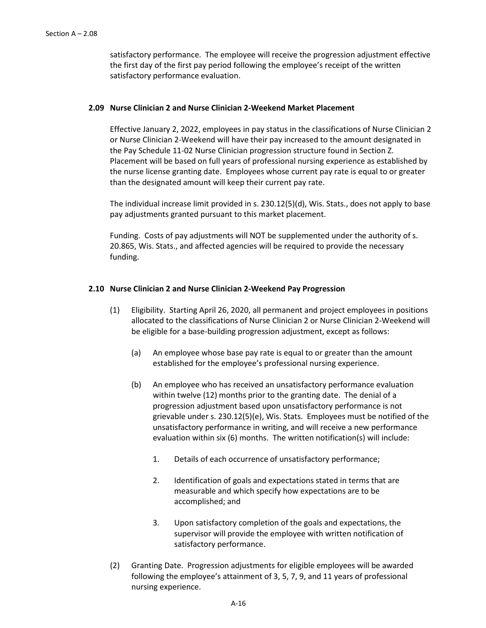satisfactory performance. The employee will receive the progression adjustment effective the first day of the first pay period following the employee's receipt of the written satisfactory performance evaluation.

#### **2.09 Nurse Clinician 2 and Nurse Clinician 2-Weekend Market Placement**

Effective January 2, 2022, employees in pay status in the classifications of Nurse Clinician 2 or Nurse Clinician 2-Weekend will have their pay increased to the amount designated in the Pay Schedule 11-02 Nurse Clinician progression structure found in Section Z. Placement will be based on full years of professional nursing experience as established by the nurse license granting date. Employees whose current pay rate is equal to or greater than the designated amount will keep their current pay rate.

The individual increase limit provided in s. 230.12(5)(d), Wis. Stats., does not apply to base pay adjustments granted pursuant to this market placement.

Funding. Costs of pay adjustments will NOT be supplemented under the authority of s. 20.865, Wis. Stats., and affected agencies will be required to provide the necessary funding.

#### **2.10 Nurse Clinician 2 and Nurse Clinician 2-Weekend Pay Progression**

- (1) Eligibility. Starting April 26, 2020, all permanent and project employees in positions allocated to the classifications of Nurse Clinician 2 or Nurse Clinician 2-Weekend will be eligible for a base-building progression adjustment, except as follows:
	- (a) An employee whose base pay rate is equal to or greater than the amount established for the employee's professional nursing experience.
	- (b) An employee who has received an unsatisfactory performance evaluation within twelve (12) months prior to the granting date. The denial of a progression adjustment based upon unsatisfactory performance is not grievable under s. 230.12(5)(e), Wis. Stats. Employees must be notified of the unsatisfactory performance in writing, and will receive a new performance evaluation within six (6) months. The written notification(s) will include:
		- 1. Details of each occurrence of unsatisfactory performance;
		- 2. Identification of goals and expectations stated in terms that are measurable and which specify how expectations are to be accomplished; and
		- 3. Upon satisfactory completion of the goals and expectations, the supervisor will provide the employee with written notification of satisfactory performance.
- (2) Granting Date. Progression adjustments for eligible employees will be awarded following the employee's attainment of 3, 5, 7, 9, and 11 years of professional nursing experience.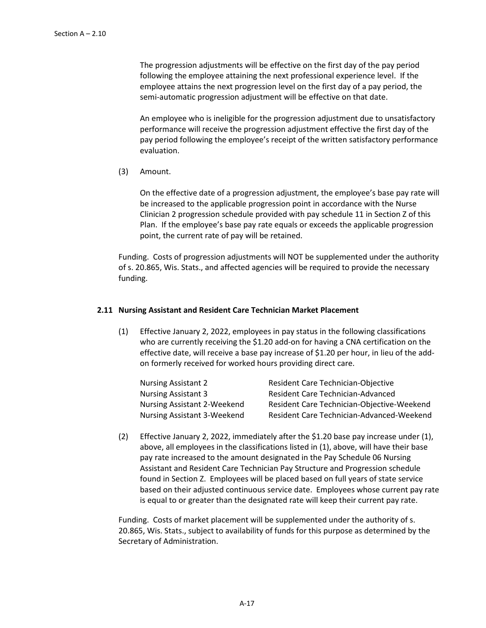The progression adjustments will be effective on the first day of the pay period following the employee attaining the next professional experience level. If the employee attains the next progression level on the first day of a pay period, the semi-automatic progression adjustment will be effective on that date.

An employee who is ineligible for the progression adjustment due to unsatisfactory performance will receive the progression adjustment effective the first day of the pay period following the employee's receipt of the written satisfactory performance evaluation.

(3) Amount.

On the effective date of a progression adjustment, the employee's base pay rate will be increased to the applicable progression point in accordance with the Nurse Clinician 2 progression schedule provided with pay schedule 11 in Section Z of this Plan. If the employee's base pay rate equals or exceeds the applicable progression point, the current rate of pay will be retained.

Funding. Costs of progression adjustments will NOT be supplemented under the authority of s. 20.865, Wis. Stats., and affected agencies will be required to provide the necessary funding.

# **2.11 Nursing Assistant and Resident Care Technician Market Placement**

(1) Effective January 2, 2022, employees in pay status in the following classifications who are currently receiving the \$1.20 add-on for having a CNA certification on the effective date, will receive a base pay increase of \$1.20 per hour, in lieu of the addon formerly received for worked hours providing direct care.

| <b>Nursing Assistant 2</b>         | Resident Care Technician-Objective         |
|------------------------------------|--------------------------------------------|
| <b>Nursing Assistant 3</b>         | <b>Resident Care Technician-Advanced</b>   |
| <b>Nursing Assistant 2-Weekend</b> | Resident Care Technician-Objective-Weekend |
| <b>Nursing Assistant 3-Weekend</b> | Resident Care Technician-Advanced-Weekend  |

(2) Effective January 2, 2022, immediately after the \$1.20 base pay increase under (1), above, all employees in the classifications listed in (1), above, will have their base pay rate increased to the amount designated in the Pay Schedule 06 Nursing Assistant and Resident Care Technician Pay Structure and Progression schedule found in Section Z. Employees will be placed based on full years of state service based on their adjusted continuous service date. Employees whose current pay rate is equal to or greater than the designated rate will keep their current pay rate.

Funding. Costs of market placement will be supplemented under the authority of s. 20.865, Wis. Stats., subject to availability of funds for this purpose as determined by the Secretary of Administration.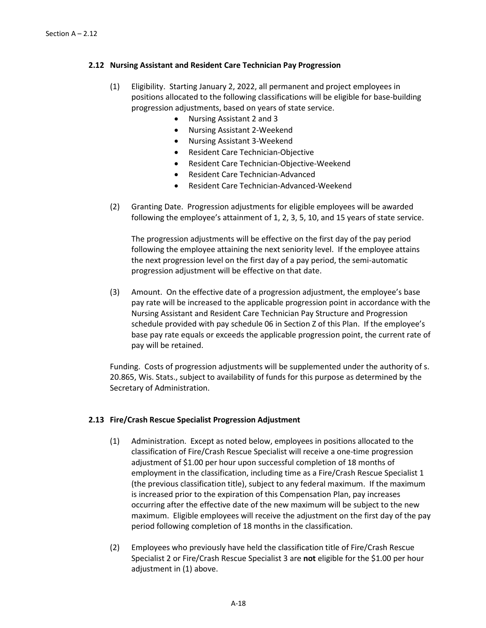## **2.12 Nursing Assistant and Resident Care Technician Pay Progression**

- (1) Eligibility. Starting January 2, 2022, all permanent and project employees in positions allocated to the following classifications will be eligible for base-building progression adjustments, based on years of state service.
	- Nursing Assistant 2 and 3
	- Nursing Assistant 2-Weekend
	- Nursing Assistant 3-Weekend
	- Resident Care Technician-Objective
	- Resident Care Technician-Objective-Weekend
	- Resident Care Technician-Advanced
	- Resident Care Technician-Advanced-Weekend
- (2) Granting Date. Progression adjustments for eligible employees will be awarded following the employee's attainment of 1, 2, 3, 5, 10, and 15 years of state service.

The progression adjustments will be effective on the first day of the pay period following the employee attaining the next seniority level. If the employee attains the next progression level on the first day of a pay period, the semi-automatic progression adjustment will be effective on that date.

(3) Amount. On the effective date of a progression adjustment, the employee's base pay rate will be increased to the applicable progression point in accordance with the Nursing Assistant and Resident Care Technician Pay Structure and Progression schedule provided with pay schedule 06 in Section Z of this Plan. If the employee's base pay rate equals or exceeds the applicable progression point, the current rate of pay will be retained.

Funding. Costs of progression adjustments will be supplemented under the authority of s. 20.865, Wis. Stats., subject to availability of funds for this purpose as determined by the Secretary of Administration.

# **2.13 Fire/Crash Rescue Specialist Progression Adjustment**

- (1) Administration. Except as noted below, employees in positions allocated to the classification of Fire/Crash Rescue Specialist will receive a one-time progression adjustment of \$1.00 per hour upon successful completion of 18 months of employment in the classification, including time as a Fire/Crash Rescue Specialist 1 (the previous classification title), subject to any federal maximum. If the maximum is increased prior to the expiration of this Compensation Plan, pay increases occurring after the effective date of the new maximum will be subject to the new maximum. Eligible employees will receive the adjustment on the first day of the pay period following completion of 18 months in the classification.
- (2) Employees who previously have held the classification title of Fire/Crash Rescue Specialist 2 or Fire/Crash Rescue Specialist 3 are **not** eligible for the \$1.00 per hour adjustment in (1) above.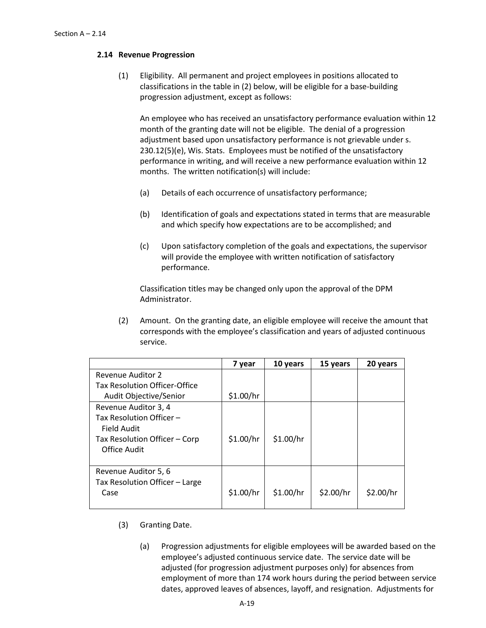# **2.14 Revenue Progression**

(1) Eligibility. All permanent and project employees in positions allocated to classifications in the table in (2) below, will be eligible for a base-building progression adjustment, except as follows:

An employee who has received an unsatisfactory performance evaluation within 12 month of the granting date will not be eligible. The denial of a progression adjustment based upon unsatisfactory performance is not grievable under s. 230.12(5)(e), Wis. Stats. Employees must be notified of the unsatisfactory performance in writing, and will receive a new performance evaluation within 12 months. The written notification(s) will include:

- (a) Details of each occurrence of unsatisfactory performance;
- (b) Identification of goals and expectations stated in terms that are measurable and which specify how expectations are to be accomplished; and
- (c) Upon satisfactory completion of the goals and expectations, the supervisor will provide the employee with written notification of satisfactory performance.

Classification titles may be changed only upon the approval of the DPM Administrator.

(2) Amount. On the granting date, an eligible employee will receive the amount that corresponds with the employee's classification and years of adjusted continuous service.

|                                      | 7 year    | 10 years  | 15 years  | 20 years  |
|--------------------------------------|-----------|-----------|-----------|-----------|
| <b>Revenue Auditor 2</b>             |           |           |           |           |
| <b>Tax Resolution Officer-Office</b> |           |           |           |           |
| Audit Objective/Senior               | \$1.00/hr |           |           |           |
| Revenue Auditor 3, 4                 |           |           |           |           |
| Tax Resolution Officer -             |           |           |           |           |
| Field Audit                          |           |           |           |           |
| Tax Resolution Officer - Corp        | \$1.00/hr | \$1.00/hr |           |           |
| Office Audit                         |           |           |           |           |
|                                      |           |           |           |           |
| Revenue Auditor 5, 6                 |           |           |           |           |
| Tax Resolution Officer - Large       |           |           |           |           |
| Case                                 | \$1.00/hr | \$1.00/hr | \$2.00/hr | \$2.00/hr |
|                                      |           |           |           |           |

- (3) Granting Date.
	- (a) Progression adjustments for eligible employees will be awarded based on the employee's adjusted continuous service date. The service date will be adjusted (for progression adjustment purposes only) for absences from employment of more than 174 work hours during the period between service dates, approved leaves of absences, layoff, and resignation. Adjustments for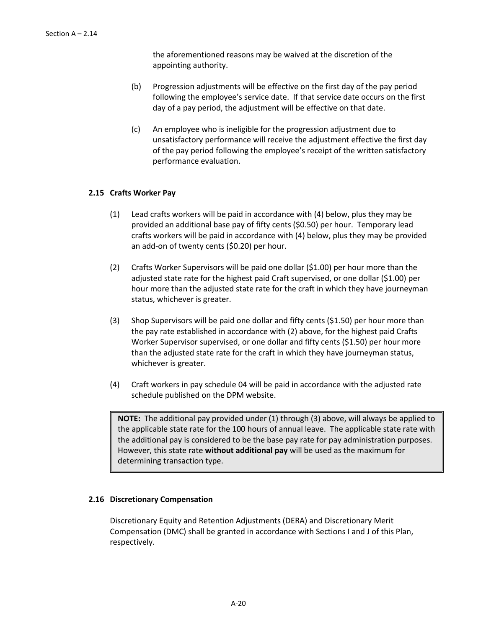the aforementioned reasons may be waived at the discretion of the appointing authority.

- (b) Progression adjustments will be effective on the first day of the pay period following the employee's service date. If that service date occurs on the first day of a pay period, the adjustment will be effective on that date.
- (c) An employee who is ineligible for the progression adjustment due to unsatisfactory performance will receive the adjustment effective the first day of the pay period following the employee's receipt of the written satisfactory performance evaluation.

### **2.15 Crafts Worker Pay**

- (1) Lead crafts workers will be paid in accordance with (4) below, plus they may be provided an additional base pay of fifty cents (\$0.50) per hour. Temporary lead crafts workers will be paid in accordance with (4) below, plus they may be provided an add-on of twenty cents (\$0.20) per hour.
- (2) Crafts Worker Supervisors will be paid one dollar (\$1.00) per hour more than the adjusted state rate for the highest paid Craft supervised, or one dollar (\$1.00) per hour more than the adjusted state rate for the craft in which they have journeyman status, whichever is greater.
- (3) Shop Supervisors will be paid one dollar and fifty cents (\$1.50) per hour more than the pay rate established in accordance with (2) above, for the highest paid Crafts Worker Supervisor supervised, or one dollar and fifty cents (\$1.50) per hour more than the adjusted state rate for the craft in which they have journeyman status, whichever is greater.
- (4) Craft workers in pay schedule 04 will be paid in accordance with the adjusted rate schedule published on the DPM website.

**NOTE:** The additional pay provided under (1) through (3) above, will always be applied to the applicable state rate for the 100 hours of annual leave. The applicable state rate with the additional pay is considered to be the base pay rate for pay administration purposes. However, this state rate **without additional pay** will be used as the maximum for determining transaction type.

# **2.16 Discretionary Compensation**

Discretionary Equity and Retention Adjustments (DERA) and Discretionary Merit Compensation (DMC) shall be granted in accordance with Sections I and J of this Plan, respectively.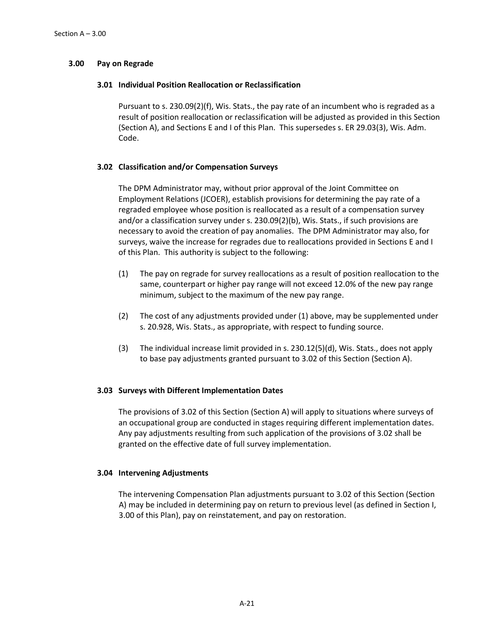# **3.00 Pay on Regrade**

### **3.01 Individual Position Reallocation or Reclassification**

Pursuant to s. 230.09(2)(f), Wis. Stats., the pay rate of an incumbent who is regraded as a result of position reallocation or reclassification will be adjusted as provided in this Section (Section A), and Sections E and I of this Plan. This supersedes s. ER 29.03(3), Wis. Adm. Code.

# **3.02 Classification and/or Compensation Surveys**

The DPM Administrator may, without prior approval of the Joint Committee on Employment Relations (JCOER), establish provisions for determining the pay rate of a regraded employee whose position is reallocated as a result of a compensation survey and/or a classification survey under s. 230.09(2)(b), Wis. Stats., if such provisions are necessary to avoid the creation of pay anomalies. The DPM Administrator may also, for surveys, waive the increase for regrades due to reallocations provided in Sections E and I of this Plan. This authority is subject to the following:

- (1) The pay on regrade for survey reallocations as a result of position reallocation to the same, counterpart or higher pay range will not exceed 12.0% of the new pay range minimum, subject to the maximum of the new pay range.
- (2) The cost of any adjustments provided under (1) above, may be supplemented under s. 20.928, Wis. Stats., as appropriate, with respect to funding source.
- (3) The individual increase limit provided in s. 230.12(5)(d), Wis. Stats., does not apply to base pay adjustments granted pursuant to 3.02 of this Section (Section A).

### **3.03 Surveys with Different Implementation Dates**

The provisions of 3.02 of this Section (Section A) will apply to situations where surveys of an occupational group are conducted in stages requiring different implementation dates. Any pay adjustments resulting from such application of the provisions of 3.02 shall be granted on the effective date of full survey implementation.

### **3.04 Intervening Adjustments**

The intervening Compensation Plan adjustments pursuant to 3.02 of this Section (Section A) may be included in determining pay on return to previous level (as defined in Section I, 3.00 of this Plan), pay on reinstatement, and pay on restoration.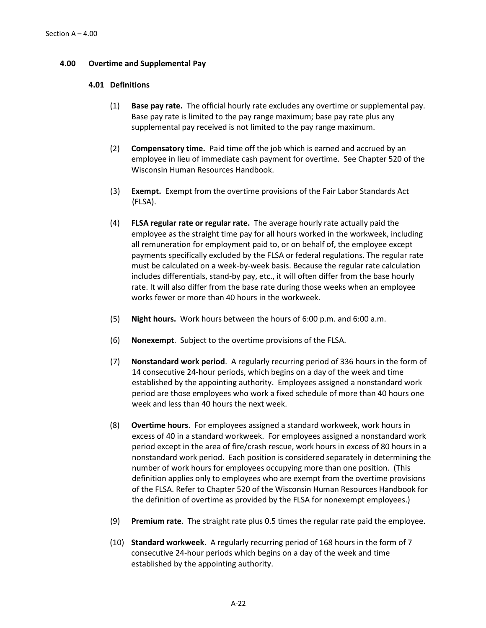### **4.00 Overtime and Supplemental Pay**

### **4.01 Definitions**

- (1) **Base pay rate.** The official hourly rate excludes any overtime or supplemental pay. Base pay rate is limited to the pay range maximum; base pay rate plus any supplemental pay received is not limited to the pay range maximum.
- (2) **Compensatory time.** Paid time off the job which is earned and accrued by an employee in lieu of immediate cash payment for overtime. See Chapter 520 of the Wisconsin Human Resources Handbook.
- (3) **Exempt.** Exempt from the overtime provisions of the Fair Labor Standards Act (FLSA).
- (4) **FLSA regular rate or regular rate.** The average hourly rate actually paid the employee as the straight time pay for all hours worked in the workweek, including all remuneration for employment paid to, or on behalf of, the employee except payments specifically excluded by the FLSA or federal regulations. The regular rate must be calculated on a week-by-week basis. Because the regular rate calculation includes differentials, stand-by pay, etc., it will often differ from the base hourly rate. It will also differ from the base rate during those weeks when an employee works fewer or more than 40 hours in the workweek.
- (5) **Night hours.** Work hours between the hours of 6:00 p.m. and 6:00 a.m.
- (6) **Nonexempt**. Subject to the overtime provisions of the FLSA.
- (7) **Nonstandard work period**. A regularly recurring period of 336 hours in the form of 14 consecutive 24-hour periods, which begins on a day of the week and time established by the appointing authority. Employees assigned a nonstandard work period are those employees who work a fixed schedule of more than 40 hours one week and less than 40 hours the next week.
- (8) **Overtime hours**. For employees assigned a standard workweek, work hours in excess of 40 in a standard workweek. For employees assigned a nonstandard work period except in the area of fire/crash rescue, work hours in excess of 80 hours in a nonstandard work period. Each position is considered separately in determining the number of work hours for employees occupying more than one position. (This definition applies only to employees who are exempt from the overtime provisions of the FLSA. Refer to Chapter 520 of the Wisconsin Human Resources Handbook for the definition of overtime as provided by the FLSA for nonexempt employees.)
- (9) **Premium rate**. The straight rate plus 0.5 times the regular rate paid the employee.
- (10) **Standard workweek**. A regularly recurring period of 168 hours in the form of 7 consecutive 24-hour periods which begins on a day of the week and time established by the appointing authority.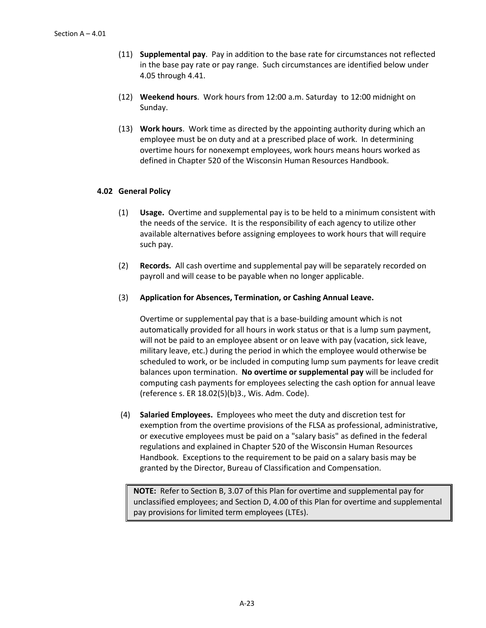- (11) **Supplemental pay**. Pay in addition to the base rate for circumstances not reflected in the base pay rate or pay range. Such circumstances are identified below under 4.05 through 4.41.
- (12) **Weekend hours**. Work hours from 12:00 a.m. Saturday to 12:00 midnight on Sunday.
- (13) **Work hours**. Work time as directed by the appointing authority during which an employee must be on duty and at a prescribed place of work. In determining overtime hours for nonexempt employees, work hours means hours worked as defined in Chapter 520 of the Wisconsin Human Resources Handbook.

### **4.02 General Policy**

- (1) **Usage.** Overtime and supplemental pay is to be held to a minimum consistent with the needs of the service. It is the responsibility of each agency to utilize other available alternatives before assigning employees to work hours that will require such pay.
- (2) **Records.** All cash overtime and supplemental pay will be separately recorded on payroll and will cease to be payable when no longer applicable.
- (3) **Application for Absences, Termination, or Cashing Annual Leave.**

Overtime or supplemental pay that is a base-building amount which is not automatically provided for all hours in work status or that is a lump sum payment, will not be paid to an employee absent or on leave with pay (vacation, sick leave, military leave, etc.) during the period in which the employee would otherwise be scheduled to work, or be included in computing lump sum payments for leave credit balances upon termination. **No overtime or supplemental pay** will be included for computing cash payments for employees selecting the cash option for annual leave (reference s. ER 18.02(5)(b)3., Wis. Adm. Code).

(4) **Salaried Employees.** Employees who meet the duty and discretion test for exemption from the overtime provisions of the FLSA as professional, administrative, or executive employees must be paid on a "salary basis" as defined in the federal regulations and explained in Chapter 520 of the Wisconsin Human Resources Handbook. Exceptions to the requirement to be paid on a salary basis may be granted by the Director, Bureau of Classification and Compensation.

**NOTE:** Refer to Section B, 3.07 of this Plan for overtime and supplemental pay for unclassified employees; and Section D, 4.00 of this Plan for overtime and supplemental pay provisions for limited term employees (LTEs).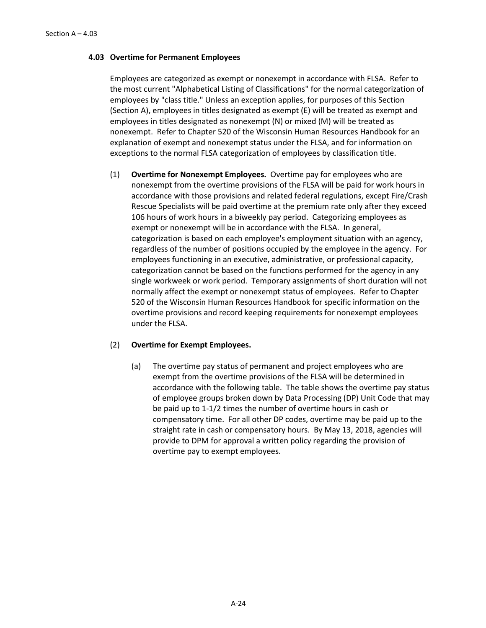### **4.03 Overtime for Permanent Employees**

Employees are categorized as exempt or nonexempt in accordance with FLSA. Refer to the most current "Alphabetical Listing of Classifications" for the normal categorization of employees by "class title." Unless an exception applies, for purposes of this Section (Section A), employees in titles designated as exempt (E) will be treated as exempt and employees in titles designated as nonexempt (N) or mixed (M) will be treated as nonexempt. Refer to Chapter 520 of the Wisconsin Human Resources Handbook for an explanation of exempt and nonexempt status under the FLSA, and for information on exceptions to the normal FLSA categorization of employees by classification title.

(1) **Overtime for Nonexempt Employees.** Overtime pay for employees who are nonexempt from the overtime provisions of the FLSA will be paid for work hours in accordance with those provisions and related federal regulations, except Fire/Crash Rescue Specialists will be paid overtime at the premium rate only after they exceed 106 hours of work hours in a biweekly pay period. Categorizing employees as exempt or nonexempt will be in accordance with the FLSA. In general, categorization is based on each employee's employment situation with an agency, regardless of the number of positions occupied by the employee in the agency. For employees functioning in an executive, administrative, or professional capacity, categorization cannot be based on the functions performed for the agency in any single workweek or work period. Temporary assignments of short duration will not normally affect the exempt or nonexempt status of employees. Refer to Chapter 520 of the Wisconsin Human Resources Handbook for specific information on the overtime provisions and record keeping requirements for nonexempt employees under the FLSA.

# (2) **Overtime for Exempt Employees.**

(a) The overtime pay status of permanent and project employees who are exempt from the overtime provisions of the FLSA will be determined in accordance with the following table. The table shows the overtime pay status of employee groups broken down by Data Processing (DP) Unit Code that may be paid up to 1-1/2 times the number of overtime hours in cash or compensatory time. For all other DP codes, overtime may be paid up to the straight rate in cash or compensatory hours. By May 13, 2018, agencies will provide to DPM for approval a written policy regarding the provision of overtime pay to exempt employees.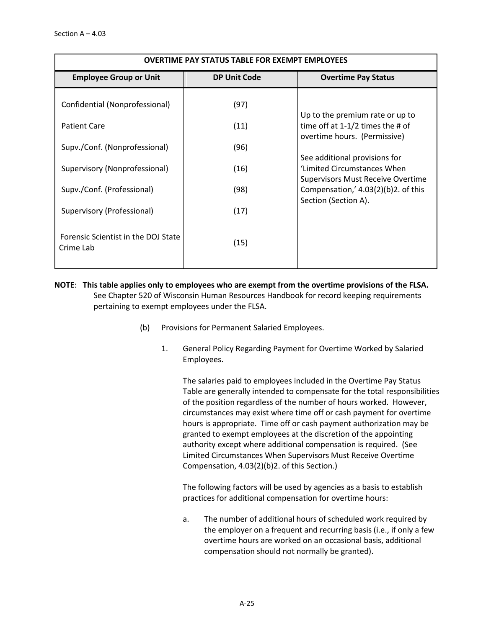| <b>OVERTIME PAY STATUS TABLE FOR EXEMPT EMPLOYEES</b>                              |      |                                                                                                          |  |  |  |
|------------------------------------------------------------------------------------|------|----------------------------------------------------------------------------------------------------------|--|--|--|
| <b>Employee Group or Unit</b><br><b>DP Unit Code</b><br><b>Overtime Pay Status</b> |      |                                                                                                          |  |  |  |
| Confidential (Nonprofessional)                                                     | (97) | Up to the premium rate or up to                                                                          |  |  |  |
| <b>Patient Care</b>                                                                | (11) | time off at $1-1/2$ times the # of<br>overtime hours. (Permissive)                                       |  |  |  |
| Supv./Conf. (Nonprofessional)                                                      | (96) |                                                                                                          |  |  |  |
| Supervisory (Nonprofessional)                                                      | (16) | See additional provisions for<br>'Limited Circumstances When<br><b>Supervisors Must Receive Overtime</b> |  |  |  |
| Supv./Conf. (Professional)                                                         | (98) | Compensation,' $4.03(2)(b)2$ . of this                                                                   |  |  |  |
| Supervisory (Professional)                                                         | (17) | Section (Section A).                                                                                     |  |  |  |
| Forensic Scientist in the DOJ State<br>Crime Lab                                   | (15) |                                                                                                          |  |  |  |

**NOTE**: **This table applies only to employees who are exempt from the overtime provisions of the FLSA.** See Chapter 520 of Wisconsin Human Resources Handbook for record keeping requirements pertaining to exempt employees under the FLSA.

- (b) Provisions for Permanent Salaried Employees.
	- 1. General Policy Regarding Payment for Overtime Worked by Salaried Employees.

The salaries paid to employees included in the Overtime Pay Status Table are generally intended to compensate for the total responsibilities of the position regardless of the number of hours worked. However, circumstances may exist where time off or cash payment for overtime hours is appropriate. Time off or cash payment authorization may be granted to exempt employees at the discretion of the appointing authority except where additional compensation is required. (See Limited Circumstances When Supervisors Must Receive Overtime Compensation, 4.03(2)(b)2. of this Section.)

The following factors will be used by agencies as a basis to establish practices for additional compensation for overtime hours:

a. The number of additional hours of scheduled work required by the employer on a frequent and recurring basis (i.e., if only a few overtime hours are worked on an occasional basis, additional compensation should not normally be granted).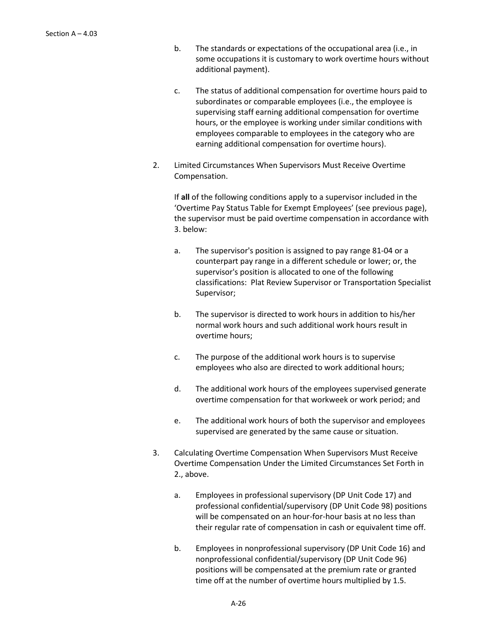- b. The standards or expectations of the occupational area (i.e., in some occupations it is customary to work overtime hours without additional payment).
- c. The status of additional compensation for overtime hours paid to subordinates or comparable employees (i.e., the employee is supervising staff earning additional compensation for overtime hours, or the employee is working under similar conditions with employees comparable to employees in the category who are earning additional compensation for overtime hours).
- 2. Limited Circumstances When Supervisors Must Receive Overtime Compensation.

If **all** of the following conditions apply to a supervisor included in the 'Overtime Pay Status Table for Exempt Employees' (see previous page), the supervisor must be paid overtime compensation in accordance with 3. below:

- a. The supervisor's position is assigned to pay range 81-04 or a counterpart pay range in a different schedule or lower; or, the supervisor's position is allocated to one of the following classifications: Plat Review Supervisor or Transportation Specialist Supervisor;
- b. The supervisor is directed to work hours in addition to his/her normal work hours and such additional work hours result in overtime hours;
- c. The purpose of the additional work hours is to supervise employees who also are directed to work additional hours;
- d. The additional work hours of the employees supervised generate overtime compensation for that workweek or work period; and
- e. The additional work hours of both the supervisor and employees supervised are generated by the same cause or situation.
- 3. Calculating Overtime Compensation When Supervisors Must Receive Overtime Compensation Under the Limited Circumstances Set Forth in 2., above.
	- a. Employees in professional supervisory (DP Unit Code 17) and professional confidential/supervisory (DP Unit Code 98) positions will be compensated on an hour-for-hour basis at no less than their regular rate of compensation in cash or equivalent time off.
	- b. Employees in nonprofessional supervisory (DP Unit Code 16) and nonprofessional confidential/supervisory (DP Unit Code 96) positions will be compensated at the premium rate or granted time off at the number of overtime hours multiplied by 1.5.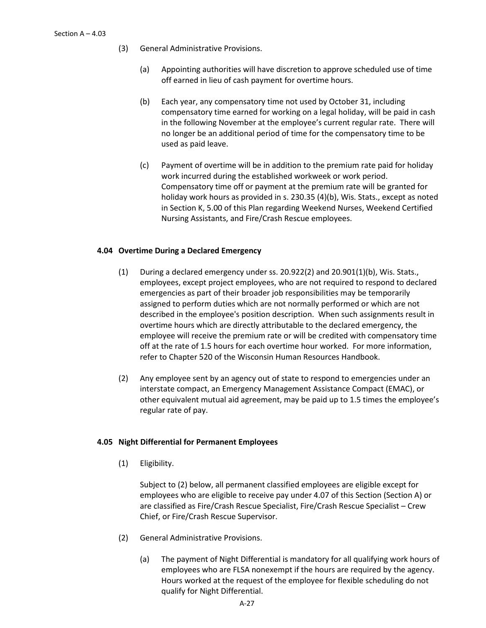- (3) General Administrative Provisions.
	- (a) Appointing authorities will have discretion to approve scheduled use of time off earned in lieu of cash payment for overtime hours.
	- (b) Each year, any compensatory time not used by October 31, including compensatory time earned for working on a legal holiday, will be paid in cash in the following November at the employee's current regular rate. There will no longer be an additional period of time for the compensatory time to be used as paid leave.
	- (c) Payment of overtime will be in addition to the premium rate paid for holiday work incurred during the established workweek or work period. Compensatory time off or payment at the premium rate will be granted for holiday work hours as provided in s. 230.35 (4)(b), Wis. Stats., except as noted in Section K, 5.00 of this Plan regarding Weekend Nurses, Weekend Certified Nursing Assistants, and Fire/Crash Rescue employees.

# **4.04 Overtime During a Declared Emergency**

- (1) During a declared emergency under ss.  $20.922(2)$  and  $20.901(1)(b)$ , Wis. Stats., employees, except project employees, who are not required to respond to declared emergencies as part of their broader job responsibilities may be temporarily assigned to perform duties which are not normally performed or which are not described in the employee's position description. When such assignments result in overtime hours which are directly attributable to the declared emergency, the employee will receive the premium rate or will be credited with compensatory time off at the rate of 1.5 hours for each overtime hour worked. For more information, refer to Chapter 520 of the Wisconsin Human Resources Handbook.
- (2) Any employee sent by an agency out of state to respond to emergencies under an interstate compact, an Emergency Management Assistance Compact (EMAC), or other equivalent mutual aid agreement, may be paid up to 1.5 times the employee's regular rate of pay.

# **4.05 Night Differential for Permanent Employees**

(1) Eligibility.

Subject to (2) below, all permanent classified employees are eligible except for employees who are eligible to receive pay under 4.07 of this Section (Section A) or are classified as Fire/Crash Rescue Specialist, Fire/Crash Rescue Specialist – Crew Chief, or Fire/Crash Rescue Supervisor.

- (2) General Administrative Provisions.
	- (a) The payment of Night Differential is mandatory for all qualifying work hours of employees who are FLSA nonexempt if the hours are required by the agency. Hours worked at the request of the employee for flexible scheduling do not qualify for Night Differential.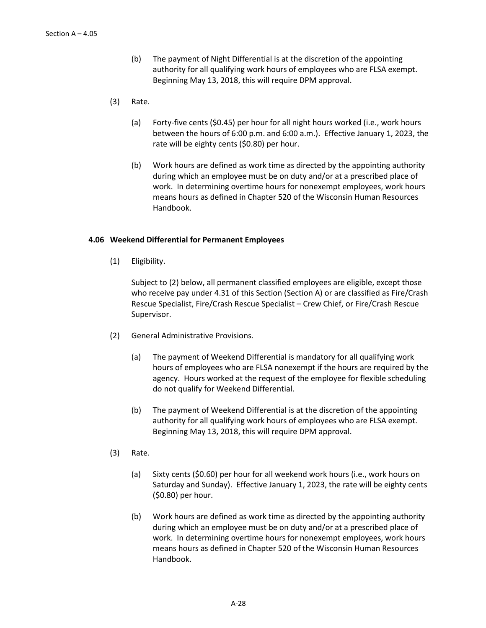- (b) The payment of Night Differential is at the discretion of the appointing authority for all qualifying work hours of employees who are FLSA exempt. Beginning May 13, 2018, this will require DPM approval.
- (3) Rate.
	- (a) Forty-five cents (\$0.45) per hour for all night hours worked (i.e., work hours between the hours of 6:00 p.m. and 6:00 a.m.). Effective January 1, 2023, the rate will be eighty cents (\$0.80) per hour.
	- (b) Work hours are defined as work time as directed by the appointing authority during which an employee must be on duty and/or at a prescribed place of work. In determining overtime hours for nonexempt employees, work hours means hours as defined in Chapter 520 of the Wisconsin Human Resources Handbook.

### **4.06 Weekend Differential for Permanent Employees**

(1) Eligibility.

Subject to (2) below, all permanent classified employees are eligible, except those who receive pay under 4.31 of this Section (Section A) or are classified as Fire/Crash Rescue Specialist, Fire/Crash Rescue Specialist – Crew Chief, or Fire/Crash Rescue Supervisor.

- (2) General Administrative Provisions.
	- (a) The payment of Weekend Differential is mandatory for all qualifying work hours of employees who are FLSA nonexempt if the hours are required by the agency. Hours worked at the request of the employee for flexible scheduling do not qualify for Weekend Differential.
	- (b) The payment of Weekend Differential is at the discretion of the appointing authority for all qualifying work hours of employees who are FLSA exempt. Beginning May 13, 2018, this will require DPM approval.
- (3) Rate.
	- (a) Sixty cents (\$0.60) per hour for all weekend work hours (i.e., work hours on Saturday and Sunday). Effective January 1, 2023, the rate will be eighty cents (\$0.80) per hour.
	- (b) Work hours are defined as work time as directed by the appointing authority during which an employee must be on duty and/or at a prescribed place of work. In determining overtime hours for nonexempt employees, work hours means hours as defined in Chapter 520 of the Wisconsin Human Resources Handbook.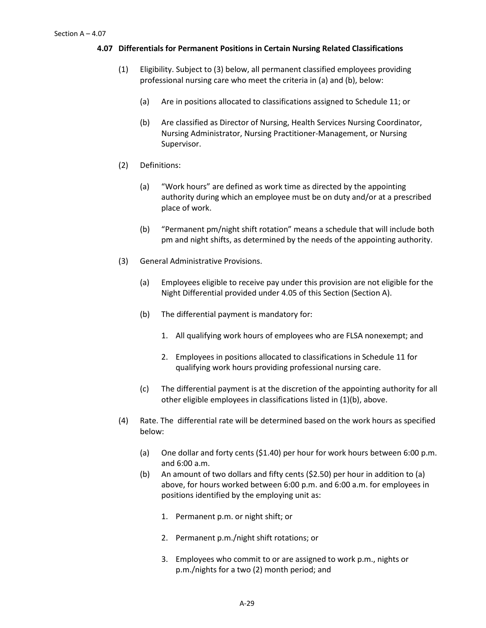### **4.07 Differentials for Permanent Positions in Certain Nursing Related Classifications**

- (1) Eligibility. Subject to (3) below, all permanent classified employees providing professional nursing care who meet the criteria in (a) and (b), below:
	- (a) Are in positions allocated to classifications assigned to Schedule 11; or
	- (b) Are classified as Director of Nursing, Health Services Nursing Coordinator, Nursing Administrator, Nursing Practitioner-Management, or Nursing Supervisor.
- (2) Definitions:
	- (a) "Work hours" are defined as work time as directed by the appointing authority during which an employee must be on duty and/or at a prescribed place of work.
	- (b) "Permanent pm/night shift rotation" means a schedule that will include both pm and night shifts, as determined by the needs of the appointing authority.
- (3) General Administrative Provisions.
	- (a) Employees eligible to receive pay under this provision are not eligible for the Night Differential provided under 4.05 of this Section (Section A).
	- (b) The differential payment is mandatory for:
		- 1. All qualifying work hours of employees who are FLSA nonexempt; and
		- 2. Employees in positions allocated to classifications in Schedule 11 for qualifying work hours providing professional nursing care.
	- (c) The differential payment is at the discretion of the appointing authority for all other eligible employees in classifications listed in (1)(b), above.
- (4) Rate. The differential rate will be determined based on the work hours as specified below:
	- (a) One dollar and forty cents (\$1.40) per hour for work hours between 6:00 p.m. and 6:00 a.m.
	- (b) An amount of two dollars and fifty cents (\$2.50) per hour in addition to (a) above, for hours worked between 6:00 p.m. and 6:00 a.m. for employees in positions identified by the employing unit as:
		- 1. Permanent p.m. or night shift; or
		- 2. Permanent p.m./night shift rotations; or
		- 3. Employees who commit to or are assigned to work p.m., nights or p.m./nights for a two (2) month period; and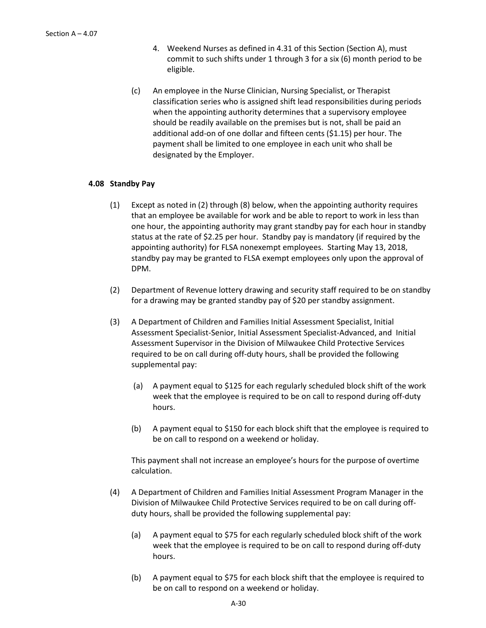- 4. Weekend Nurses as defined in 4.31 of this Section (Section A), must commit to such shifts under 1 through 3 for a six (6) month period to be eligible.
- (c) An employee in the Nurse Clinician, Nursing Specialist, or Therapist classification series who is assigned shift lead responsibilities during periods when the appointing authority determines that a supervisory employee should be readily available on the premises but is not, shall be paid an additional add-on of one dollar and fifteen cents (\$1.15) per hour. The payment shall be limited to one employee in each unit who shall be designated by the Employer.

# **4.08 Standby Pay**

- (1) Except as noted in (2) through (8) below, when the appointing authority requires that an employee be available for work and be able to report to work in less than one hour, the appointing authority may grant standby pay for each hour in standby status at the rate of \$2.25 per hour. Standby pay is mandatory (if required by the appointing authority) for FLSA nonexempt employees. Starting May 13, 2018, standby pay may be granted to FLSA exempt employees only upon the approval of DPM.
- (2) Department of Revenue lottery drawing and security staff required to be on standby for a drawing may be granted standby pay of \$20 per standby assignment.
- (3) A Department of Children and Families Initial Assessment Specialist, Initial Assessment Specialist-Senior, Initial Assessment Specialist-Advanced, and Initial Assessment Supervisor in the Division of Milwaukee Child Protective Services required to be on call during off-duty hours, shall be provided the following supplemental pay:
	- (a) A payment equal to \$125 for each regularly scheduled block shift of the work week that the employee is required to be on call to respond during off-duty hours.
	- (b) A payment equal to \$150 for each block shift that the employee is required to be on call to respond on a weekend or holiday.

This payment shall not increase an employee's hours for the purpose of overtime calculation.

- (4) A Department of Children and Families Initial Assessment Program Manager in the Division of Milwaukee Child Protective Services required to be on call during offduty hours, shall be provided the following supplemental pay:
	- (a) A payment equal to \$75 for each regularly scheduled block shift of the work week that the employee is required to be on call to respond during off-duty hours.
	- (b) A payment equal to \$75 for each block shift that the employee is required to be on call to respond on a weekend or holiday.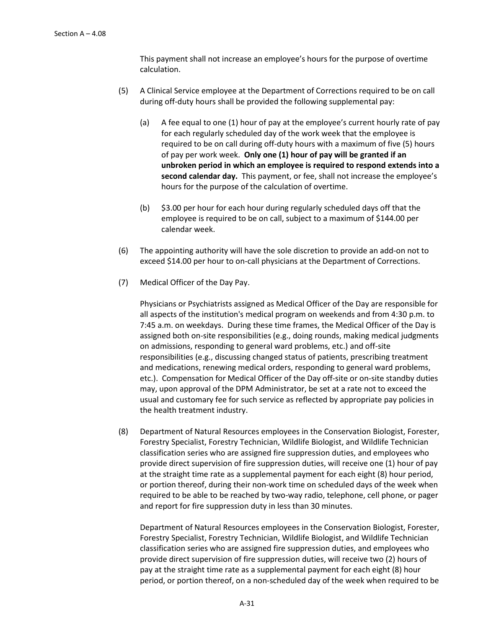This payment shall not increase an employee's hours for the purpose of overtime calculation.

- (5) A Clinical Service employee at the Department of Corrections required to be on call during off-duty hours shall be provided the following supplemental pay:
	- (a) A fee equal to one (1) hour of pay at the employee's current hourly rate of pay for each regularly scheduled day of the work week that the employee is required to be on call during off-duty hours with a maximum of five (5) hours of pay per work week. **Only one (1) hour of pay will be granted if an unbroken period in which an employee is required to respond extends into a second calendar day.** This payment, or fee, shall not increase the employee's hours for the purpose of the calculation of overtime.
	- (b) \$3.00 per hour for each hour during regularly scheduled days off that the employee is required to be on call, subject to a maximum of \$144.00 per calendar week.
- (6) The appointing authority will have the sole discretion to provide an add-on not to exceed \$14.00 per hour to on-call physicians at the Department of Corrections.
- (7) Medical Officer of the Day Pay.

Physicians or Psychiatrists assigned as Medical Officer of the Day are responsible for all aspects of the institution's medical program on weekends and from 4:30 p.m. to 7:45 a.m. on weekdays. During these time frames, the Medical Officer of the Day is assigned both on-site responsibilities (e.g., doing rounds, making medical judgments on admissions, responding to general ward problems, etc.) and off-site responsibilities (e.g., discussing changed status of patients, prescribing treatment and medications, renewing medical orders, responding to general ward problems, etc.). Compensation for Medical Officer of the Day off-site or on-site standby duties may, upon approval of the DPM Administrator, be set at a rate not to exceed the usual and customary fee for such service as reflected by appropriate pay policies in the health treatment industry.

(8) Department of Natural Resources employees in the Conservation Biologist, Forester, Forestry Specialist, Forestry Technician, Wildlife Biologist, and Wildlife Technician classification series who are assigned fire suppression duties, and employees who provide direct supervision of fire suppression duties, will receive one (1) hour of pay at the straight time rate as a supplemental payment for each eight (8) hour period, or portion thereof, during their non-work time on scheduled days of the week when required to be able to be reached by two-way radio, telephone, cell phone, or pager and report for fire suppression duty in less than 30 minutes.

Department of Natural Resources employees in the Conservation Biologist, Forester, Forestry Specialist, Forestry Technician, Wildlife Biologist, and Wildlife Technician classification series who are assigned fire suppression duties, and employees who provide direct supervision of fire suppression duties, will receive two (2) hours of pay at the straight time rate as a supplemental payment for each eight (8) hour period, or portion thereof, on a non-scheduled day of the week when required to be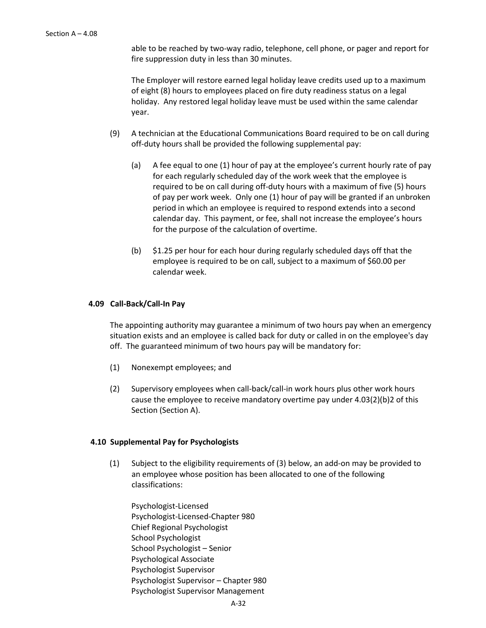able to be reached by two-way radio, telephone, cell phone, or pager and report for fire suppression duty in less than 30 minutes.

The Employer will restore earned legal holiday leave credits used up to a maximum of eight (8) hours to employees placed on fire duty readiness status on a legal holiday. Any restored legal holiday leave must be used within the same calendar year.

- (9) A technician at the Educational Communications Board required to be on call during off-duty hours shall be provided the following supplemental pay:
	- (a) A fee equal to one (1) hour of pay at the employee's current hourly rate of pay for each regularly scheduled day of the work week that the employee is required to be on call during off-duty hours with a maximum of five (5) hours of pay per work week. Only one (1) hour of pay will be granted if an unbroken period in which an employee is required to respond extends into a second calendar day. This payment, or fee, shall not increase the employee's hours for the purpose of the calculation of overtime.
	- (b) \$1.25 per hour for each hour during regularly scheduled days off that the employee is required to be on call, subject to a maximum of \$60.00 per calendar week.

### **4.09 Call-Back/Call-In Pay**

The appointing authority may guarantee a minimum of two hours pay when an emergency situation exists and an employee is called back for duty or called in on the employee's day off. The guaranteed minimum of two hours pay will be mandatory for:

- (1) Nonexempt employees; and
- (2) Supervisory employees when call-back/call-in work hours plus other work hours cause the employee to receive mandatory overtime pay under 4.03(2)(b)2 of this Section (Section A).

#### **4.10 Supplemental Pay for Psychologists**

(1) Subject to the eligibility requirements of (3) below, an add-on may be provided to an employee whose position has been allocated to one of the following classifications:

Psychologist-Licensed Psychologist-Licensed-Chapter 980 Chief Regional Psychologist School Psychologist School Psychologist – Senior Psychological Associate Psychologist Supervisor Psychologist Supervisor – Chapter 980 Psychologist Supervisor Management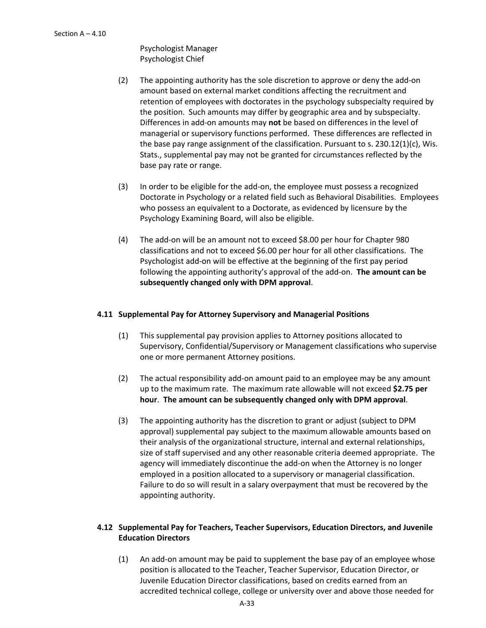Psychologist Manager Psychologist Chief

- (2) The appointing authority has the sole discretion to approve or deny the add-on amount based on external market conditions affecting the recruitment and retention of employees with doctorates in the psychology subspecialty required by the position. Such amounts may differ by geographic area and by subspecialty. Differences in add-on amounts may **not** be based on differences in the level of managerial or supervisory functions performed. These differences are reflected in the base pay range assignment of the classification. Pursuant to s.  $230.12(1)(c)$ , Wis. Stats., supplemental pay may not be granted for circumstances reflected by the base pay rate or range.
- (3) In order to be eligible for the add-on, the employee must possess a recognized Doctorate in Psychology or a related field such as Behavioral Disabilities. Employees who possess an equivalent to a Doctorate, as evidenced by licensure by the Psychology Examining Board, will also be eligible.
- (4) The add-on will be an amount not to exceed \$8.00 per hour for Chapter 980 classifications and not to exceed \$6.00 per hour for all other classifications.The Psychologist add-on will be effective at the beginning of the first pay period following the appointing authority's approval of the add-on. **The amount can be subsequently changed only with DPM approval**.

# **4.11 Supplemental Pay for Attorney Supervisory and Managerial Positions**

- (1) This supplemental pay provision applies to Attorney positions allocated to Supervisory, Confidential/Supervisory or Management classifications who supervise one or more permanent Attorney positions.
- (2) The actual responsibility add-on amount paid to an employee may be any amount up to the maximum rate. The maximum rate allowable will not exceed **\$2.75 per hour**. **The amount can be subsequently changed only with DPM approval**.
- (3) The appointing authority has the discretion to grant or adjust (subject to DPM approval) supplemental pay subject to the maximum allowable amounts based on their analysis of the organizational structure, internal and external relationships, size of staff supervised and any other reasonable criteria deemed appropriate. The agency will immediately discontinue the add-on when the Attorney is no longer employed in a position allocated to a supervisory or managerial classification. Failure to do so will result in a salary overpayment that must be recovered by the appointing authority.

# **4.12 Supplemental Pay for Teachers, Teacher Supervisors, Education Directors, and Juvenile Education Directors**

(1) An add-on amount may be paid to supplement the base pay of an employee whose position is allocated to the Teacher, Teacher Supervisor, Education Director, or Juvenile Education Director classifications, based on credits earned from an accredited technical college, college or university over and above those needed for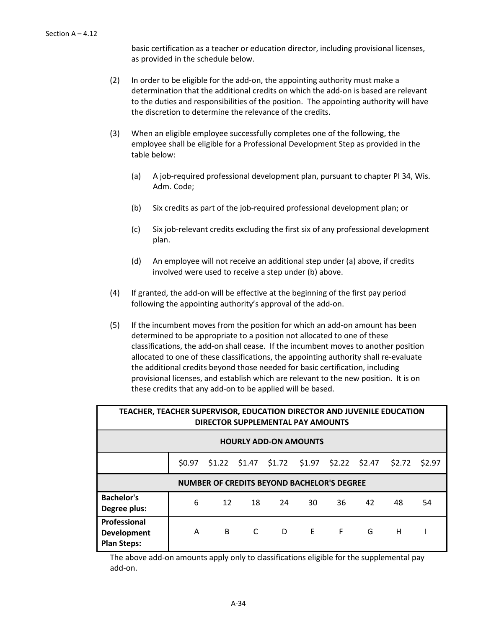basic certification as a teacher or education director, including provisional licenses, as provided in the schedule below.

- (2) In order to be eligible for the add-on, the appointing authority must make a determination that the additional credits on which the add-on is based are relevant to the duties and responsibilities of the position. The appointing authority will have the discretion to determine the relevance of the credits.
- (3) When an eligible employee successfully completes one of the following, the employee shall be eligible for a Professional Development Step as provided in the table below:
	- (a) A job-required professional development plan, pursuant to chapter PI 34, Wis. Adm. Code;
	- (b) Six credits as part of the job-required professional development plan; or
	- (c) Six job-relevant credits excluding the first six of any professional development plan.
	- (d) An employee will not receive an additional step under (a) above, if credits involved were used to receive a step under (b) above.
- (4) If granted, the add-on will be effective at the beginning of the first pay period following the appointing authority's approval of the add-on.
- (5) If the incumbent moves from the position for which an add-on amount has been determined to be appropriate to a position not allocated to one of these classifications, the add-on shall cease. If the incumbent moves to another position allocated to one of these classifications, the appointing authority shall re-evaluate the additional credits beyond those needed for basic certification, including provisional licenses, and establish which are relevant to the new position. It is on these credits that any add-on to be applied will be based.

| TEACHER, TEACHER SUPERVISOR, EDUCATION DIRECTOR AND JUVENILE EDUCATION<br>DIRECTOR SUPPLEMENTAL PAY AMOUNTS |                                                   |  |                        |  |                                                 |   |   |        |        |
|-------------------------------------------------------------------------------------------------------------|---------------------------------------------------|--|------------------------|--|-------------------------------------------------|---|---|--------|--------|
| <b>HOURLY ADD-ON AMOUNTS</b>                                                                                |                                                   |  |                        |  |                                                 |   |   |        |        |
|                                                                                                             | \$0.97                                            |  |                        |  | $$1.22$ $$1.47$ $$1.72$ $$1.97$ $$2.22$ $$2.47$ |   |   | \$2.72 | \$2.97 |
|                                                                                                             | <b>NUMBER OF CREDITS BEYOND BACHELOR'S DEGREE</b> |  |                        |  |                                                 |   |   |        |        |
| <b>Bachelor's</b><br>6<br>12<br>18<br>36<br>42<br>24<br>30<br>48<br>54<br>Degree plus:                      |                                                   |  |                        |  |                                                 |   |   |        |        |
| Professional<br><b>Development</b><br><b>Plan Steps:</b>                                                    | A                                                 |  | C<br>$B \qquad \qquad$ |  | D <sub>E</sub>                                  | F | G | н      |        |

The above add-on amounts apply only to classifications eligible for the supplemental pay add-on.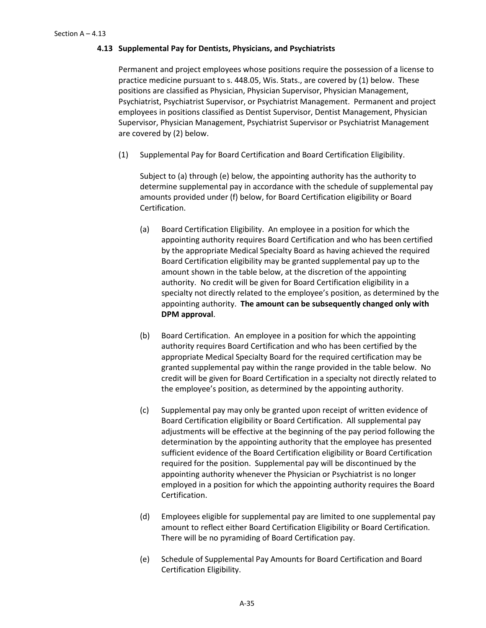## **4.13 Supplemental Pay for Dentists, Physicians, and Psychiatrists**

Permanent and project employees whose positions require the possession of a license to practice medicine pursuant to s. 448.05, Wis. Stats., are covered by (1) below. These positions are classified as Physician, Physician Supervisor, Physician Management, Psychiatrist, Psychiatrist Supervisor, or Psychiatrist Management. Permanent and project employees in positions classified as Dentist Supervisor, Dentist Management, Physician Supervisor, Physician Management, Psychiatrist Supervisor or Psychiatrist Management are covered by (2) below.

(1) Supplemental Pay for Board Certification and Board Certification Eligibility.

Subject to (a) through (e) below, the appointing authority has the authority to determine supplemental pay in accordance with the schedule of supplemental pay amounts provided under (f) below, for Board Certification eligibility or Board Certification.

- (a) Board Certification Eligibility. An employee in a position for which the appointing authority requires Board Certification and who has been certified by the appropriate Medical Specialty Board as having achieved the required Board Certification eligibility may be granted supplemental pay up to the amount shown in the table below, at the discretion of the appointing authority. No credit will be given for Board Certification eligibility in a specialty not directly related to the employee's position, as determined by the appointing authority. **The amount can be subsequently changed only with DPM approval**.
- (b) Board Certification. An employee in a position for which the appointing authority requires Board Certification and who has been certified by the appropriate Medical Specialty Board for the required certification may be granted supplemental pay within the range provided in the table below. No credit will be given for Board Certification in a specialty not directly related to the employee's position, as determined by the appointing authority.
- (c) Supplemental pay may only be granted upon receipt of written evidence of Board Certification eligibility or Board Certification. All supplemental pay adjustments will be effective at the beginning of the pay period following the determination by the appointing authority that the employee has presented sufficient evidence of the Board Certification eligibility or Board Certification required for the position. Supplemental pay will be discontinued by the appointing authority whenever the Physician or Psychiatrist is no longer employed in a position for which the appointing authority requires the Board Certification.
- (d) Employees eligible for supplemental pay are limited to one supplemental pay amount to reflect either Board Certification Eligibility or Board Certification. There will be no pyramiding of Board Certification pay.
- (e) Schedule of Supplemental Pay Amounts for Board Certification and Board Certification Eligibility.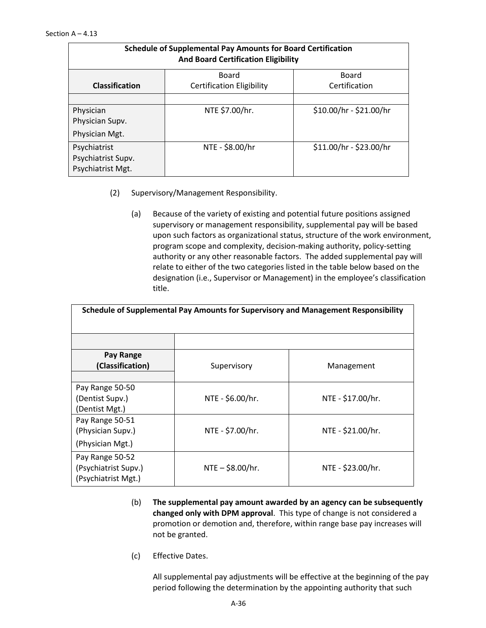| <b>Schedule of Supplemental Pay Amounts for Board Certification</b><br><b>And Board Certification Eligibility</b> |                                  |                         |  |  |  |  |  |
|-------------------------------------------------------------------------------------------------------------------|----------------------------------|-------------------------|--|--|--|--|--|
|                                                                                                                   | <b>Board</b><br>Board            |                         |  |  |  |  |  |
| <b>Classification</b>                                                                                             | <b>Certification Eligibility</b> | Certification           |  |  |  |  |  |
|                                                                                                                   |                                  |                         |  |  |  |  |  |
| Physician                                                                                                         | NTE \$7.00/hr.                   | \$10.00/hr - \$21.00/hr |  |  |  |  |  |
| Physician Supv.                                                                                                   |                                  |                         |  |  |  |  |  |
| Physician Mgt.                                                                                                    |                                  |                         |  |  |  |  |  |
| Psychiatrist                                                                                                      | NTE - \$8.00/hr                  | \$11.00/hr - \$23.00/hr |  |  |  |  |  |
| Psychiatrist Supv.                                                                                                |                                  |                         |  |  |  |  |  |
| Psychiatrist Mgt.                                                                                                 |                                  |                         |  |  |  |  |  |

- (2) Supervisory/Management Responsibility.
	- (a) Because of the variety of existing and potential future positions assigned supervisory or management responsibility, supplemental pay will be based upon such factors as organizational status, structure of the work environment, program scope and complexity, decision-making authority, policy-setting authority or any other reasonable factors. The added supplemental pay will relate to either of the two categories listed in the table below based on the designation (i.e., Supervisor or Management) in the employee's classification title.

| Schedule of Supplemental Pay Amounts for Supervisory and Management Responsibility |                   |                   |  |  |
|------------------------------------------------------------------------------------|-------------------|-------------------|--|--|
|                                                                                    |                   |                   |  |  |
| Pay Range<br>(Classification)                                                      | Supervisory       | Management        |  |  |
| Pay Range 50-50<br>(Dentist Supv.)<br>(Dentist Mgt.)                               | NTE - \$6.00/hr.  | NTE - \$17.00/hr. |  |  |
| Pay Range 50-51<br>(Physician Supv.)<br>(Physician Mgt.)                           | NTE - \$7.00/hr.  | NTE - \$21.00/hr. |  |  |
| Pay Range 50-52<br>(Psychiatrist Supv.)<br>(Psychiatrist Mgt.)                     | $NTE - $8.00/hr.$ | NTE - \$23.00/hr. |  |  |

- (b) **The supplemental pay amount awarded by an agency can be subsequently changed only with DPM approval**. This type of change is not considered a promotion or demotion and, therefore, within range base pay increases will not be granted.
- (c) Effective Dates.

All supplemental pay adjustments will be effective at the beginning of the pay period following the determination by the appointing authority that such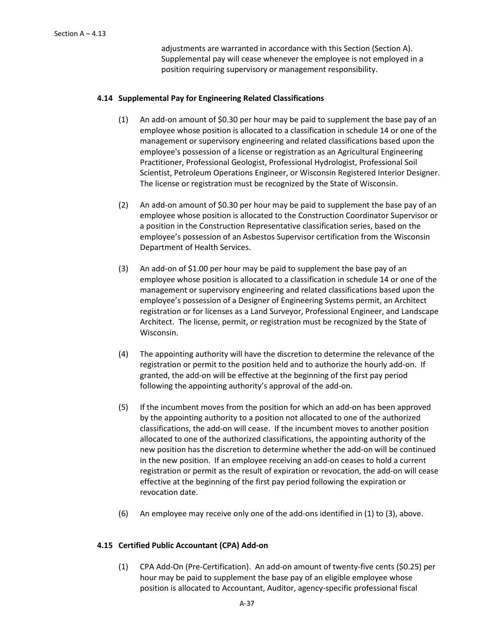adjustments are warranted in accordance with this Section (Section A). Supplemental pay will cease whenever the employee is not employed in a position requiring supervisory or management responsibility.

# **4.14 Supplemental Pay for Engineering Related Classifications**

- (1) An add-on amount of \$0.30 per hour may be paid to supplement the base pay of an employee whose position is allocated to a classification in schedule 14 or one of the management or supervisory engineering and related classifications based upon the employee's possession of a license or registration as an Agricultural Engineering Practitioner, Professional Geologist, Professional Hydrologist, Professional Soil Scientist, Petroleum Operations Engineer, or Wisconsin Registered Interior Designer. The license or registration must be recognized by the State of Wisconsin.
- (2) An add-on amount of \$0.30 per hour may be paid to supplement the base pay of an employee whose position is allocated to the Construction Coordinator Supervisor or a position in the Construction Representative classification series, based on the employee's possession of an Asbestos Supervisor certification from the Wisconsin Department of Health Services.
- (3) An add-on of \$1.00 per hour may be paid to supplement the base pay of an employee whose position is allocated to a classification in schedule 14 or one of the management or supervisory engineering and related classifications based upon the employee's possession of a Designer of Engineering Systems permit, an Architect registration or for licenses as a Land Surveyor, Professional Engineer, and Landscape Architect. The license, permit, or registration must be recognized by the State of Wisconsin.
- (4) The appointing authority will have the discretion to determine the relevance of the registration or permit to the position held and to authorize the hourly add-on. If granted, the add-on will be effective at the beginning of the first pay period following the appointing authority's approval of the add-on.
- (5) If the incumbent moves from the position for which an add-on has been approved by the appointing authority to a position not allocated to one of the authorized classifications, the add-on will cease. If the incumbent moves to another position allocated to one of the authorized classifications, the appointing authority of the new position has the discretion to determine whether the add-on will be continued in the new position. If an employee receiving an add-on ceases to hold a current registration or permit as the result of expiration or revocation, the add-on will cease effective at the beginning of the first pay period following the expiration or revocation date.
- (6) An employee may receive only one of the add-ons identified in (1) to (3), above.

# **4.15 Certified Public Accountant (CPA) Add-on**

(1) CPA Add-On (Pre-Certification). An add-on amount of twenty-five cents (\$0.25) per hour may be paid to supplement the base pay of an eligible employee whose position is allocated to Accountant, Auditor, agency-specific professional fiscal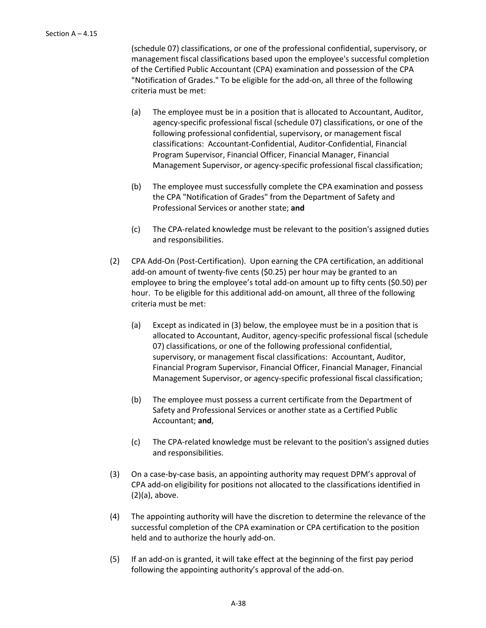(schedule 07) classifications, or one of the professional confidential, supervisory, or management fiscal classifications based upon the employee's successful completion of the Certified Public Accountant (CPA) examination and possession of the CPA "Notification of Grades." To be eligible for the add-on, all three of the following criteria must be met:

- (a) The employee must be in a position that is allocated to Accountant, Auditor, agency-specific professional fiscal (schedule 07) classifications, or one of the following professional confidential, supervisory, or management fiscal classifications: Accountant-Confidential, Auditor-Confidential, Financial Program Supervisor, Financial Officer, Financial Manager, Financial Management Supervisor, or agency-specific professional fiscal classification;
- (b) The employee must successfully complete the CPA examination and possess the CPA "Notification of Grades" from the Department of Safety and Professional Services or another state; **and**
- (c) The CPA-related knowledge must be relevant to the position's assigned duties and responsibilities.
- (2) CPA Add-On (Post-Certification). Upon earning the CPA certification, an additional add-on amount of twenty-five cents (\$0.25) per hour may be granted to an employee to bring the employee's total add-on amount up to fifty cents (\$0.50) per hour. To be eligible for this additional add-on amount, all three of the following criteria must be met:
	- (a) Except as indicated in (3) below, the employee must be in a position that is allocated to Accountant, Auditor, agency-specific professional fiscal (schedule 07) classifications, or one of the following professional confidential, supervisory, or management fiscal classifications: Accountant, Auditor, Financial Program Supervisor, Financial Officer, Financial Manager, Financial Management Supervisor, or agency-specific professional fiscal classification;
	- (b) The employee must possess a current certificate from the Department of Safety and Professional Services or another state as a Certified Public Accountant; **and**,
	- (c) The CPA-related knowledge must be relevant to the position's assigned duties and responsibilities.
- (3) On a case-by-case basis, an appointing authority may request DPM's approval of CPA add-on eligibility for positions not allocated to the classifications identified in (2)(a), above.
- (4) The appointing authority will have the discretion to determine the relevance of the successful completion of the CPA examination or CPA certification to the position held and to authorize the hourly add-on.
- (5) If an add-on is granted, it will take effect at the beginning of the first pay period following the appointing authority's approval of the add-on.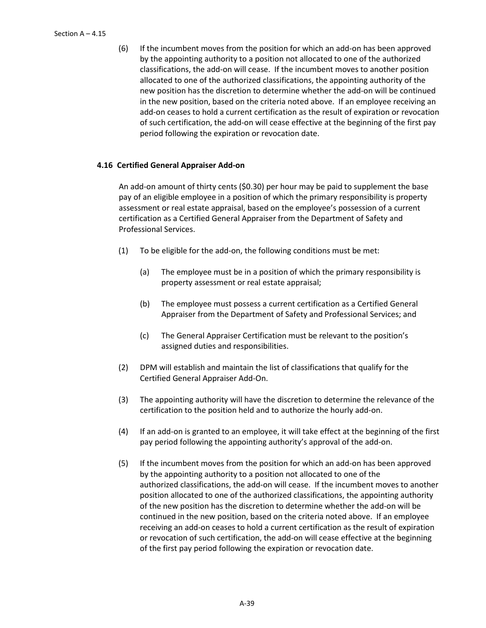(6) If the incumbent moves from the position for which an add-on has been approved by the appointing authority to a position not allocated to one of the authorized classifications, the add-on will cease. If the incumbent moves to another position allocated to one of the authorized classifications, the appointing authority of the new position has the discretion to determine whether the add-on will be continued in the new position, based on the criteria noted above. If an employee receiving an add-on ceases to hold a current certification as the result of expiration or revocation of such certification, the add-on will cease effective at the beginning of the first pay period following the expiration or revocation date.

# **4.16 Certified General Appraiser Add-on**

An add-on amount of thirty cents (\$0.30) per hour may be paid to supplement the base pay of an eligible employee in a position of which the primary responsibility is property assessment or real estate appraisal, based on the employee's possession of a current certification as a Certified General Appraiser from the Department of Safety and Professional Services.

- (1) To be eligible for the add-on, the following conditions must be met:
	- (a) The employee must be in a position of which the primary responsibility is property assessment or real estate appraisal;
	- (b) The employee must possess a current certification as a Certified General Appraiser from the Department of Safety and Professional Services; and
	- (c) The General Appraiser Certification must be relevant to the position's assigned duties and responsibilities.
- (2) DPM will establish and maintain the list of classifications that qualify for the Certified General Appraiser Add-On.
- (3) The appointing authority will have the discretion to determine the relevance of the certification to the position held and to authorize the hourly add-on.
- (4) If an add-on is granted to an employee, it will take effect at the beginning of the first pay period following the appointing authority's approval of the add-on.
- (5) If the incumbent moves from the position for which an add-on has been approved by the appointing authority to a position not allocated to one of the authorized classifications, the add-on will cease. If the incumbent moves to another position allocated to one of the authorized classifications, the appointing authority of the new position has the discretion to determine whether the add-on will be continued in the new position, based on the criteria noted above. If an employee receiving an add-on ceases to hold a current certification as the result of expiration or revocation of such certification, the add-on will cease effective at the beginning of the first pay period following the expiration or revocation date.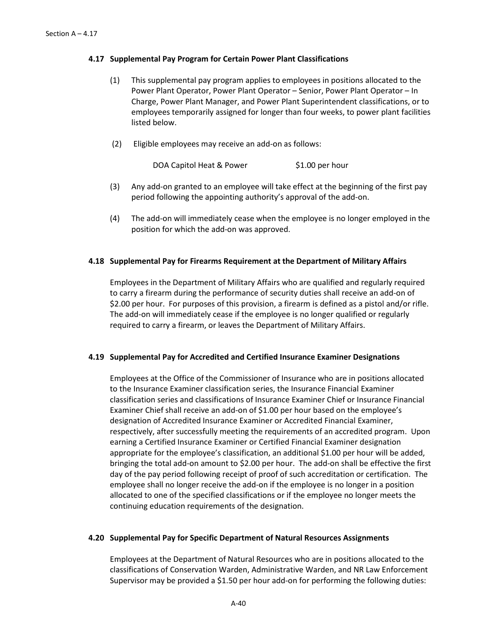### **4.17 Supplemental Pay Program for Certain Power Plant Classifications**

- (1) This supplemental pay program applies to employees in positions allocated to the Power Plant Operator, Power Plant Operator – Senior, Power Plant Operator – In Charge, Power Plant Manager, and Power Plant Superintendent classifications, or to employees temporarily assigned for longer than four weeks, to power plant facilities listed below.
- (2) Eligible employees may receive an add-on as follows:

DOA Capitol Heat & Power \$1.00 per hour

- (3) Any add-on granted to an employee will take effect at the beginning of the first pay period following the appointing authority's approval of the add-on.
- (4) The add-on will immediately cease when the employee is no longer employed in the position for which the add-on was approved.

### **4.18 Supplemental Pay for Firearms Requirement at the Department of Military Affairs**

Employees in the Department of Military Affairs who are qualified and regularly required to carry a firearm during the performance of security duties shall receive an add-on of \$2.00 per hour. For purposes of this provision, a firearm is defined as a pistol and/or rifle. The add-on will immediately cease if the employee is no longer qualified or regularly required to carry a firearm, or leaves the Department of Military Affairs.

### **4.19 Supplemental Pay for Accredited and Certified Insurance Examiner Designations**

Employees at the Office of the Commissioner of Insurance who are in positions allocated to the Insurance Examiner classification series, the Insurance Financial Examiner classification series and classifications of Insurance Examiner Chief or Insurance Financial Examiner Chief shall receive an add-on of \$1.00 per hour based on the employee's designation of Accredited Insurance Examiner or Accredited Financial Examiner, respectively, after successfully meeting the requirements of an accredited program. Upon earning a Certified Insurance Examiner or Certified Financial Examiner designation appropriate for the employee's classification, an additional \$1.00 per hour will be added, bringing the total add-on amount to \$2.00 per hour. The add-on shall be effective the first day of the pay period following receipt of proof of such accreditation or certification. The employee shall no longer receive the add-on if the employee is no longer in a position allocated to one of the specified classifications or if the employee no longer meets the continuing education requirements of the designation.

### **4.20 Supplemental Pay for Specific Department of Natural Resources Assignments**

Employees at the Department of Natural Resources who are in positions allocated to the classifications of Conservation Warden, Administrative Warden, and NR Law Enforcement Supervisor may be provided a \$1.50 per hour add-on for performing the following duties: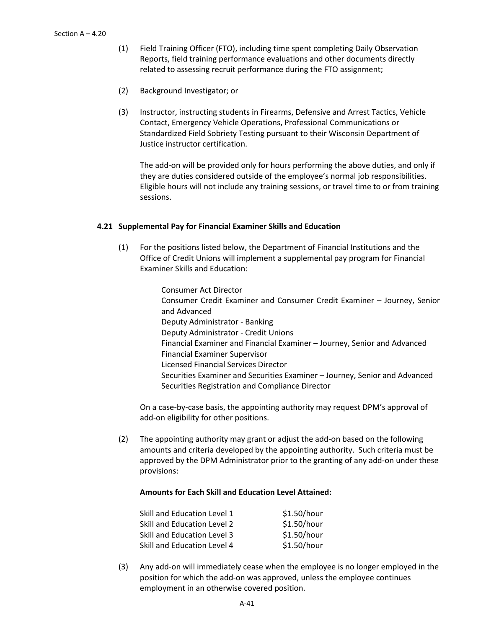- (1) Field Training Officer (FTO), including time spent completing Daily Observation Reports, field training performance evaluations and other documents directly related to assessing recruit performance during the FTO assignment;
- (2) Background Investigator; or
- (3) Instructor, instructing students in Firearms, Defensive and Arrest Tactics, Vehicle Contact, Emergency Vehicle Operations, Professional Communications or Standardized Field Sobriety Testing pursuant to their Wisconsin Department of Justice instructor certification.

The add-on will be provided only for hours performing the above duties, and only if they are duties considered outside of the employee's normal job responsibilities. Eligible hours will not include any training sessions, or travel time to or from training sessions.

### **4.21 Supplemental Pay for Financial Examiner Skills and Education**

(1) For the positions listed below, the Department of Financial Institutions and the Office of Credit Unions will implement a supplemental pay program for Financial Examiner Skills and Education:

> Consumer Act Director Consumer Credit Examiner and Consumer Credit Examiner – Journey, Senior and Advanced Deputy Administrator - Banking Deputy Administrator - Credit Unions Financial Examiner and Financial Examiner – Journey, Senior and Advanced Financial Examiner Supervisor Licensed Financial Services Director Securities Examiner and Securities Examiner – Journey, Senior and Advanced Securities Registration and Compliance Director

On a case-by-case basis, the appointing authority may request DPM's approval of add-on eligibility for other positions.

(2) The appointing authority may grant or adjust the add-on based on the following amounts and criteria developed by the appointing authority. Such criteria must be approved by the DPM Administrator prior to the granting of any add-on under these provisions:

# **Amounts for Each Skill and Education Level Attained:**

| Skill and Education Level 1 | \$1.50/hour |
|-----------------------------|-------------|
| Skill and Education Level 2 | \$1.50/hour |
| Skill and Education Level 3 | \$1.50/hour |
| Skill and Education Level 4 | \$1.50/hour |

(3) Any add-on will immediately cease when the employee is no longer employed in the position for which the add-on was approved, unless the employee continues employment in an otherwise covered position.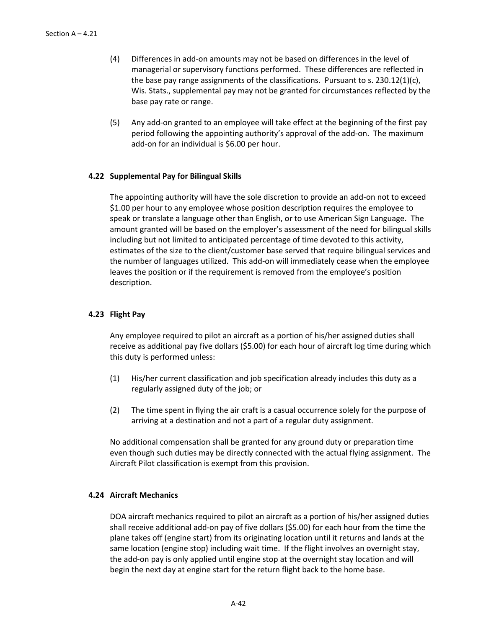- (4) Differences in add-on amounts may not be based on differences in the level of managerial or supervisory functions performed. These differences are reflected in the base pay range assignments of the classifications. Pursuant to s.  $230.12(1)(c)$ , Wis. Stats., supplemental pay may not be granted for circumstances reflected by the base pay rate or range.
- (5) Any add-on granted to an employee will take effect at the beginning of the first pay period following the appointing authority's approval of the add-on. The maximum add-on for an individual is \$6.00 per hour.

### **4.22 Supplemental Pay for Bilingual Skills**

The appointing authority will have the sole discretion to provide an add-on not to exceed \$1.00 per hour to any employee whose position description requires the employee to speak or translate a language other than English, or to use American Sign Language. The amount granted will be based on the employer's assessment of the need for bilingual skills including but not limited to anticipated percentage of time devoted to this activity, estimates of the size to the client/customer base served that require bilingual services and the number of languages utilized. This add-on will immediately cease when the employee leaves the position or if the requirement is removed from the employee's position description.

# **4.23 Flight Pay**

Any employee required to pilot an aircraft as a portion of his/her assigned duties shall receive as additional pay five dollars (\$5.00) for each hour of aircraft log time during which this duty is performed unless:

- (1) His/her current classification and job specification already includes this duty as a regularly assigned duty of the job; or
- (2) The time spent in flying the air craft is a casual occurrence solely for the purpose of arriving at a destination and not a part of a regular duty assignment.

No additional compensation shall be granted for any ground duty or preparation time even though such duties may be directly connected with the actual flying assignment. The Aircraft Pilot classification is exempt from this provision.

### **4.24 Aircraft Mechanics**

DOA aircraft mechanics required to pilot an aircraft as a portion of his/her assigned duties shall receive additional add-on pay of five dollars (\$5.00) for each hour from the time the plane takes off (engine start) from its originating location until it returns and lands at the same location (engine stop) including wait time. If the flight involves an overnight stay, the add-on pay is only applied until engine stop at the overnight stay location and will begin the next day at engine start for the return flight back to the home base.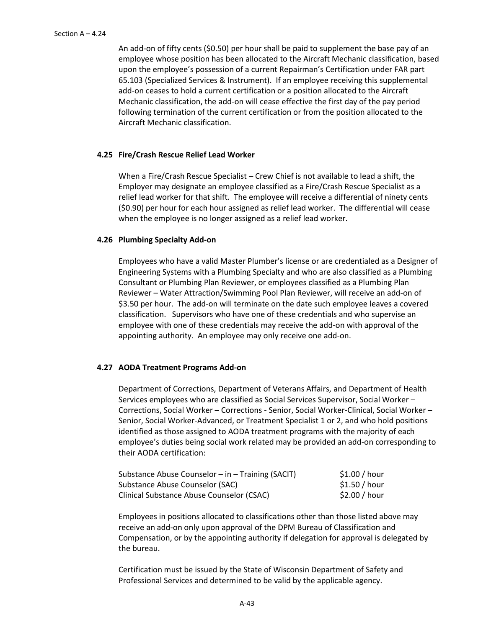An add-on of fifty cents (\$0.50) per hour shall be paid to supplement the base pay of an employee whose position has been allocated to the Aircraft Mechanic classification, based upon the employee's possession of a current Repairman's Certification under FAR part 65.103 (Specialized Services & Instrument). If an employee receiving this supplemental add-on ceases to hold a current certification or a position allocated to the Aircraft Mechanic classification, the add-on will cease effective the first day of the pay period following termination of the current certification or from the position allocated to the Aircraft Mechanic classification.

### **4.25 Fire/Crash Rescue Relief Lead Worker**

When a Fire/Crash Rescue Specialist – Crew Chief is not available to lead a shift, the Employer may designate an employee classified as a Fire/Crash Rescue Specialist as a relief lead worker for that shift. The employee will receive a differential of ninety cents (\$0.90) per hour for each hour assigned as relief lead worker. The differential will cease when the employee is no longer assigned as a relief lead worker.

### **4.26 Plumbing Specialty Add-on**

Employees who have a valid Master Plumber's license or are credentialed as a Designer of Engineering Systems with a Plumbing Specialty and who are also classified as a Plumbing Consultant or Plumbing Plan Reviewer, or employees classified as a Plumbing Plan Reviewer – Water Attraction/Swimming Pool Plan Reviewer, will receive an add-on of \$3.50 per hour. The add-on will terminate on the date such employee leaves a covered classification. Supervisors who have one of these credentials and who supervise an employee with one of these credentials may receive the add-on with approval of the appointing authority. An employee may only receive one add-on.

### **4.27 AODA Treatment Programs Add-on**

Department of Corrections, Department of Veterans Affairs, and Department of Health Services employees who are classified as Social Services Supervisor, Social Worker – Corrections, Social Worker – Corrections - Senior, Social Worker-Clinical, Social Worker – Senior, Social Worker-Advanced, or Treatment Specialist 1 or 2, and who hold positions identified as those assigned to AODA treatment programs with the majority of each employee's duties being social work related may be provided an add-on corresponding to their AODA certification:

| Substance Abuse Counselor - in - Training (SACIT) | \$1.00 / hour |
|---------------------------------------------------|---------------|
| Substance Abuse Counselor (SAC)                   | \$1.50 / hour |
| Clinical Substance Abuse Counselor (CSAC)         | \$2.00/hour   |

Employees in positions allocated to classifications other than those listed above may receive an add-on only upon approval of the DPM Bureau of Classification and Compensation, or by the appointing authority if delegation for approval is delegated by the bureau.

Certification must be issued by the State of Wisconsin Department of Safety and Professional Services and determined to be valid by the applicable agency.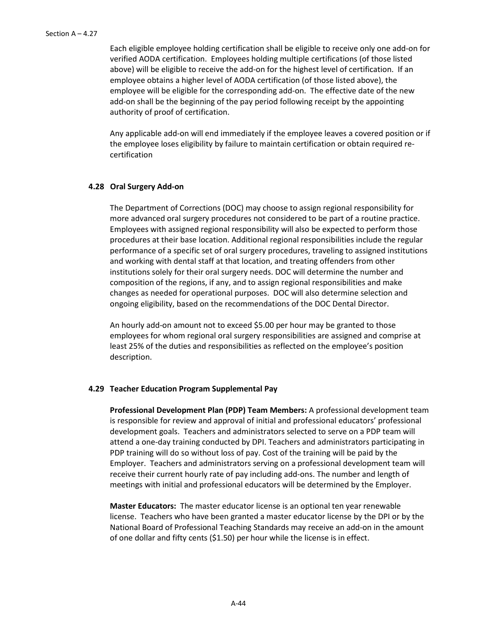Each eligible employee holding certification shall be eligible to receive only one add-on for verified AODA certification. Employees holding multiple certifications (of those listed above) will be eligible to receive the add-on for the highest level of certification. If an employee obtains a higher level of AODA certification (of those listed above), the employee will be eligible for the corresponding add-on. The effective date of the new add-on shall be the beginning of the pay period following receipt by the appointing authority of proof of certification.

Any applicable add-on will end immediately if the employee leaves a covered position or if the employee loses eligibility by failure to maintain certification or obtain required recertification

#### **4.28 Oral Surgery Add-on**

The Department of Corrections (DOC) may choose to assign regional responsibility for more advanced oral surgery procedures not considered to be part of a routine practice. Employees with assigned regional responsibility will also be expected to perform those procedures at their base location. Additional regional responsibilities include the regular performance of a specific set of oral surgery procedures, traveling to assigned institutions and working with dental staff at that location, and treating offenders from other institutions solely for their oral surgery needs. DOC will determine the number and composition of the regions, if any, and to assign regional responsibilities and make changes as needed for operational purposes. DOC will also determine selection and ongoing eligibility, based on the recommendations of the DOC Dental Director.

An hourly add-on amount not to exceed \$5.00 per hour may be granted to those employees for whom regional oral surgery responsibilities are assigned and comprise at least 25% of the duties and responsibilities as reflected on the employee's position description.

### **4.29 Teacher Education Program Supplemental Pay**

**Professional Development Plan (PDP) Team Members:** A professional development team is responsible for review and approval of initial and professional educators' professional development goals. Teachers and administrators selected to serve on a PDP team will attend a one-day training conducted by DPI. Teachers and administrators participating in PDP training will do so without loss of pay. Cost of the training will be paid by the Employer. Teachers and administrators serving on a professional development team will receive their current hourly rate of pay including add-ons. The number and length of meetings with initial and professional educators will be determined by the Employer.

**Master Educators:** The master educator license is an optional ten year renewable license. Teachers who have been granted a master educator license by the DPI or by the National Board of Professional Teaching Standards may receive an add-on in the amount of one dollar and fifty cents (\$1.50) per hour while the license is in effect.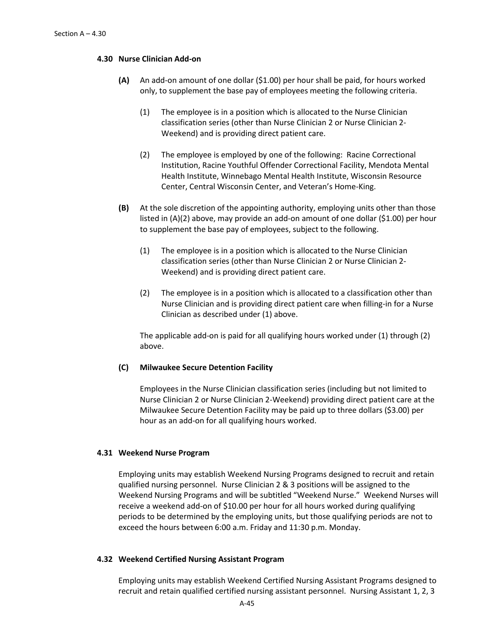#### **4.30 Nurse Clinician Add-on**

- **(A)** An add-on amount of one dollar (\$1.00) per hour shall be paid, for hours worked only, to supplement the base pay of employees meeting the following criteria.
	- (1) The employee is in a position which is allocated to the Nurse Clinician classification series (other than Nurse Clinician 2 or Nurse Clinician 2- Weekend) and is providing direct patient care.
	- (2) The employee is employed by one of the following: Racine Correctional Institution, Racine Youthful Offender Correctional Facility, Mendota Mental Health Institute, Winnebago Mental Health Institute, Wisconsin Resource Center, Central Wisconsin Center, and Veteran's Home-King.
- **(B)** At the sole discretion of the appointing authority, employing units other than those listed in (A)(2) above, may provide an add-on amount of one dollar (\$1.00) per hour to supplement the base pay of employees, subject to the following.
	- (1) The employee is in a position which is allocated to the Nurse Clinician classification series (other than Nurse Clinician 2 or Nurse Clinician 2- Weekend) and is providing direct patient care.
	- (2) The employee is in a position which is allocated to a classification other than Nurse Clinician and is providing direct patient care when filling-in for a Nurse Clinician as described under (1) above.

The applicable add-on is paid for all qualifying hours worked under (1) through (2) above.

### **(C) Milwaukee Secure Detention Facility**

Employees in the Nurse Clinician classification series (including but not limited to Nurse Clinician 2 or Nurse Clinician 2-Weekend) providing direct patient care at the Milwaukee Secure Detention Facility may be paid up to three dollars (\$3.00) per hour as an add-on for all qualifying hours worked.

#### **4.31 Weekend Nurse Program**

Employing units may establish Weekend Nursing Programs designed to recruit and retain qualified nursing personnel. Nurse Clinician 2 & 3 positions will be assigned to the Weekend Nursing Programs and will be subtitled "Weekend Nurse." Weekend Nurses will receive a weekend add-on of \$10.00 per hour for all hours worked during qualifying periods to be determined by the employing units, but those qualifying periods are not to exceed the hours between 6:00 a.m. Friday and 11:30 p.m. Monday.

#### **4.32 Weekend Certified Nursing Assistant Program**

Employing units may establish Weekend Certified Nursing Assistant Programs designed to recruit and retain qualified certified nursing assistant personnel. Nursing Assistant 1, 2, 3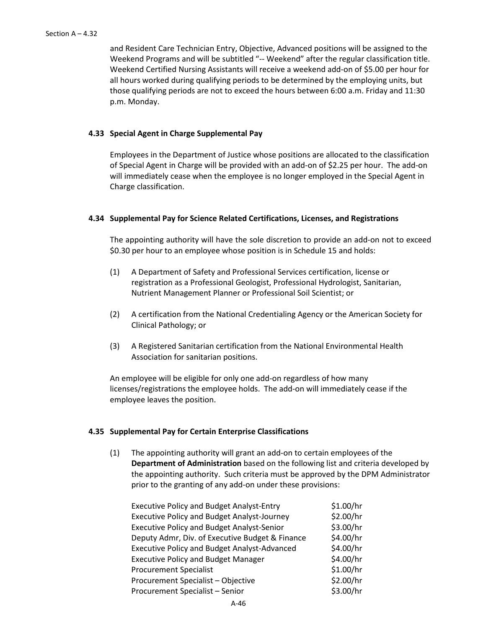and Resident Care Technician Entry, Objective, Advanced positions will be assigned to the Weekend Programs and will be subtitled "-- Weekend" after the regular classification title. Weekend Certified Nursing Assistants will receive a weekend add-on of \$5.00 per hour for all hours worked during qualifying periods to be determined by the employing units, but those qualifying periods are not to exceed the hours between 6:00 a.m. Friday and 11:30 p.m. Monday.

### **4.33 Special Agent in Charge Supplemental Pay**

Employees in the Department of Justice whose positions are allocated to the classification of Special Agent in Charge will be provided with an add-on of \$2.25 per hour. The add-on will immediately cease when the employee is no longer employed in the Special Agent in Charge classification.

### **4.34 Supplemental Pay for Science Related Certifications, Licenses, and Registrations**

The appointing authority will have the sole discretion to provide an add-on not to exceed \$0.30 per hour to an employee whose position is in Schedule 15 and holds:

- (1) A Department of Safety and Professional Services certification, license or registration as a Professional Geologist, Professional Hydrologist, Sanitarian, Nutrient Management Planner or Professional Soil Scientist; or
- (2) A certification from the National Credentialing Agency or the American Society for Clinical Pathology; or
- (3) A Registered Sanitarian certification from the National Environmental Health Association for sanitarian positions.

An employee will be eligible for only one add-on regardless of how many licenses/registrations the employee holds. The add-on will immediately cease if the employee leaves the position.

### **4.35 Supplemental Pay for Certain Enterprise Classifications**

(1) The appointing authority will grant an add-on to certain employees of the **Department of Administration** based on the following list and criteria developed by the appointing authority. Such criteria must be approved by the DPM Administrator prior to the granting of any add-on under these provisions:

| <b>Executive Policy and Budget Analyst-Entry</b>    | \$1.00/hr |
|-----------------------------------------------------|-----------|
| <b>Executive Policy and Budget Analyst-Journey</b>  | \$2.00/hr |
| <b>Executive Policy and Budget Analyst-Senior</b>   | \$3.00/hr |
| Deputy Admr, Div. of Executive Budget & Finance     | \$4.00/hr |
| <b>Executive Policy and Budget Analyst-Advanced</b> | \$4.00/hr |
| <b>Executive Policy and Budget Manager</b>          | \$4.00/hr |
| <b>Procurement Specialist</b>                       | \$1.00/hr |
| Procurement Specialist - Objective                  | \$2.00/hr |
| Procurement Specialist - Senior                     | \$3.00/hr |
|                                                     |           |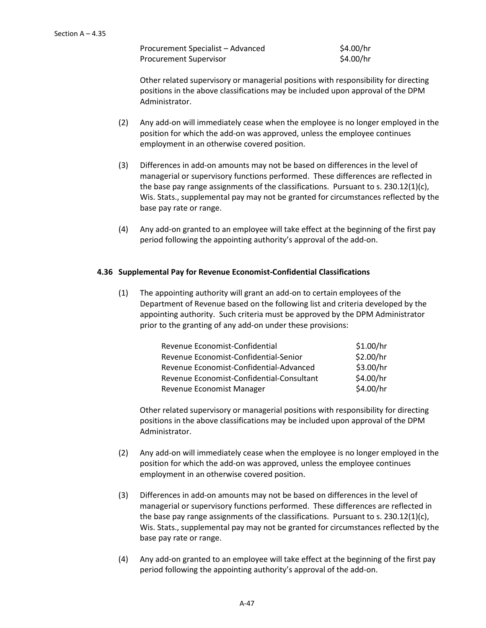Procurement Specialist – Advanced \$4.00/hr Procurement Supervisor  $$4.00/hr$ 

Other related supervisory or managerial positions with responsibility for directing positions in the above classifications may be included upon approval of the DPM Administrator.

- (2) Any add-on will immediately cease when the employee is no longer employed in the position for which the add-on was approved, unless the employee continues employment in an otherwise covered position.
- (3) Differences in add-on amounts may not be based on differences in the level of managerial or supervisory functions performed. These differences are reflected in the base pay range assignments of the classifications. Pursuant to s. 230.12(1)(c), Wis. Stats., supplemental pay may not be granted for circumstances reflected by the base pay rate or range.
- (4) Any add-on granted to an employee will take effect at the beginning of the first pay period following the appointing authority's approval of the add-on.

# **4.36 Supplemental Pay for Revenue Economist-Confidential Classifications**

(1) The appointing authority will grant an add-on to certain employees of the Department of Revenue based on the following list and criteria developed by the appointing authority. Such criteria must be approved by the DPM Administrator prior to the granting of any add-on under these provisions:

| Revenue Economist-Confidential            | \$1.00/hr |
|-------------------------------------------|-----------|
| Revenue Economist-Confidential-Senior     | \$2.00/hr |
| Revenue Economist-Confidential-Advanced   | \$3.00/hr |
| Revenue Economist-Confidential-Consultant | \$4.00/hr |
| Revenue Economist Manager                 | \$4.00/hr |

Other related supervisory or managerial positions with responsibility for directing positions in the above classifications may be included upon approval of the DPM Administrator.

- (2) Any add-on will immediately cease when the employee is no longer employed in the position for which the add-on was approved, unless the employee continues employment in an otherwise covered position.
- (3) Differences in add-on amounts may not be based on differences in the level of managerial or supervisory functions performed. These differences are reflected in the base pay range assignments of the classifications. Pursuant to s.  $230.12(1)(c)$ , Wis. Stats., supplemental pay may not be granted for circumstances reflected by the base pay rate or range.
- (4) Any add-on granted to an employee will take effect at the beginning of the first pay period following the appointing authority's approval of the add-on.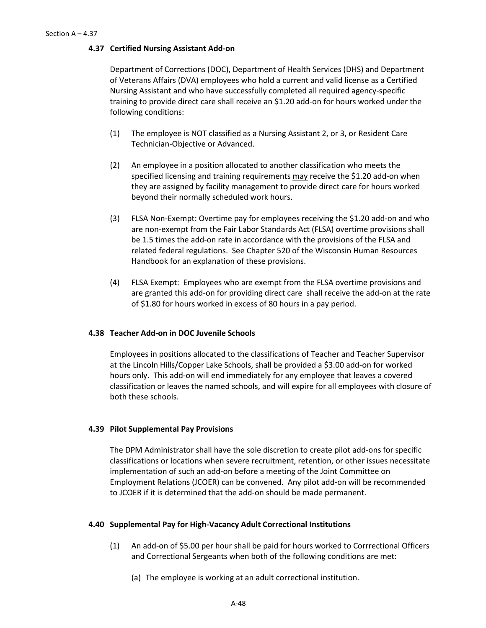### **4.37 Certified Nursing Assistant Add-on**

Department of Corrections (DOC), Department of Health Services (DHS) and Department of Veterans Affairs (DVA) employees who hold a current and valid license as a Certified Nursing Assistant and who have successfully completed all required agency-specific training to provide direct care shall receive an \$1.20 add-on for hours worked under the following conditions:

- (1) The employee is NOT classified as a Nursing Assistant 2, or 3, or Resident Care Technician-Objective or Advanced.
- (2) An employee in a position allocated to another classification who meets the specified licensing and training requirements may receive the \$1.20 add-on when they are assigned by facility management to provide direct care for hours worked beyond their normally scheduled work hours.
- (3) FLSA Non-Exempt: Overtime pay for employees receiving the \$1.20 add-on and who are non-exempt from the Fair Labor Standards Act (FLSA) overtime provisions shall be 1.5 times the add-on rate in accordance with the provisions of the FLSA and related federal regulations. See Chapter 520 of the Wisconsin Human Resources Handbook for an explanation of these provisions.
- (4) FLSA Exempt: Employees who are exempt from the FLSA overtime provisions and are granted this add-on for providing direct care shall receive the add-on at the rate of \$1.80 for hours worked in excess of 80 hours in a pay period.

### **4.38 Teacher Add-on in DOC Juvenile Schools**

Employees in positions allocated to the classifications of Teacher and Teacher Supervisor at the Lincoln Hills/Copper Lake Schools, shall be provided a \$3.00 add-on for worked hours only. This add-on will end immediately for any employee that leaves a covered classification or leaves the named schools, and will expire for all employees with closure of both these schools.

### **4.39 Pilot Supplemental Pay Provisions**

The DPM Administrator shall have the sole discretion to create pilot add-ons for specific classifications or locations when severe recruitment, retention, or other issues necessitate implementation of such an add-on before a meeting of the Joint Committee on Employment Relations (JCOER) can be convened. Any pilot add-on will be recommended to JCOER if it is determined that the add-on should be made permanent.

### **4.40 Supplemental Pay for High-Vacancy Adult Correctional Institutions**

- (1) An add-on of \$5.00 per hour shall be paid for hours worked to Corrrectional Officers and Correctional Sergeants when both of the following conditions are met:
	- (a) The employee is working at an adult correctional institution.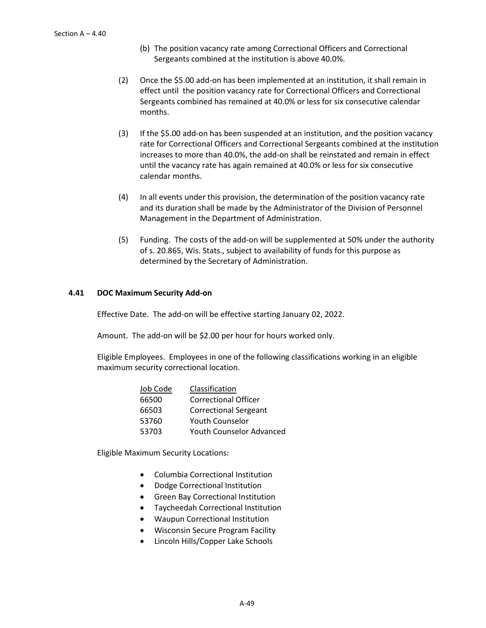- (b) The position vacancy rate among Correctional Officers and Correctional Sergeants combined at the institution is above 40.0%.
- (2) Once the \$5.00 add-on has been implemented at an institution, it shall remain in effect until the position vacancy rate for Correctional Officers and Correctional Sergeants combined has remained at 40.0% or less for six consecutive calendar months.
- (3) If the \$5.00 add-on has been suspended at an institution, and the position vacancy rate for Correctional Officers and Correctional Sergeants combined at the institution increases to more than 40.0%, the add-on shall be reinstated and remain in effect until the vacancy rate has again remained at 40.0% or less for six consecutive calendar months.
- (4) In all events under this provision, the determination of the position vacancy rate and its duration shall be made by the Administrator of the Division of Personnel Management in the Department of Administration.
- (5) Funding. The costs of the add-on will be supplemented at 50% under the authority of s. 20.865, Wis. Stats., subject to availability of funds for this purpose as determined by the Secretary of Administration.

### **4.41 DOC Maximum Security Add-on**

Effective Date. The add-on will be effective starting January 02, 2022.

Amount. The add-on will be \$2.00 per hour for hours worked only.

Eligible Employees. Employees in one of the following classifications working in an eligible maximum security correctional location.

| Classification                  |
|---------------------------------|
| <b>Correctional Officer</b>     |
| <b>Correctional Sergeant</b>    |
| <b>Youth Counselor</b>          |
| <b>Youth Counselor Advanced</b> |
|                                 |

Eligible Maximum Security Locations:

- Columbia Correctional Institution
- Dodge Correctional Institution
- Green Bay Correctional Institution
- Taycheedah Correctional Institution
- Waupun Correctional Institution
- Wisconsin Secure Program Facility
- Lincoln Hills/Copper Lake Schools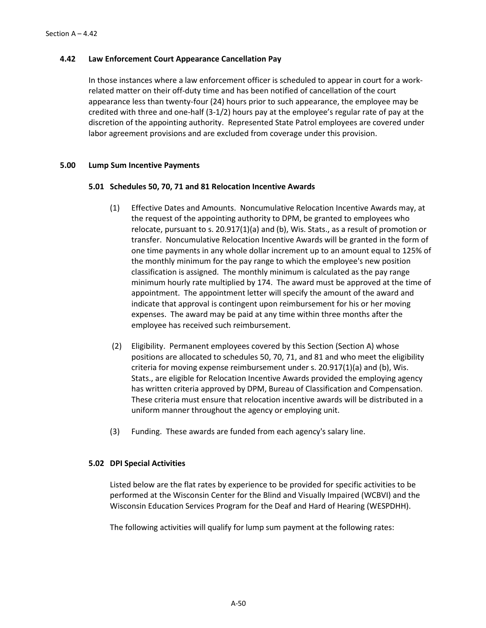## **4.42 Law Enforcement Court Appearance Cancellation Pay**

In those instances where a law enforcement officer is scheduled to appear in court for a workrelated matter on their off-duty time and has been notified of cancellation of the court appearance less than twenty-four (24) hours prior to such appearance, the employee may be credited with three and one-half (3-1/2) hours pay at the employee's regular rate of pay at the discretion of the appointing authority. Represented State Patrol employees are covered under labor agreement provisions and are excluded from coverage under this provision.

### **5.00 Lump Sum Incentive Payments**

### **5.01 Schedules 50, 70, 71 and 81 Relocation Incentive Awards**

- (1) Effective Dates and Amounts. Noncumulative Relocation Incentive Awards may, at the request of the appointing authority to DPM, be granted to employees who relocate, pursuant to s. 20.917(1)(a) and (b), Wis. Stats., as a result of promotion or transfer. Noncumulative Relocation Incentive Awards will be granted in the form of one time payments in any whole dollar increment up to an amount equal to 125% of the monthly minimum for the pay range to which the employee's new position classification is assigned. The monthly minimum is calculated as the pay range minimum hourly rate multiplied by 174. The award must be approved at the time of appointment. The appointment letter will specify the amount of the award and indicate that approval is contingent upon reimbursement for his or her moving expenses. The award may be paid at any time within three months after the employee has received such reimbursement.
- (2) Eligibility. Permanent employees covered by this Section (Section A) whose positions are allocated to schedules 50, 70, 71, and 81 and who meet the eligibility criteria for moving expense reimbursement under s. 20.917(1)(a) and (b), Wis. Stats., are eligible for Relocation Incentive Awards provided the employing agency has written criteria approved by DPM, Bureau of Classification and Compensation. These criteria must ensure that relocation incentive awards will be distributed in a uniform manner throughout the agency or employing unit.
- (3) Funding. These awards are funded from each agency's salary line.

# **5.02 DPI Special Activities**

Listed below are the flat rates by experience to be provided for specific activities to be performed at the Wisconsin Center for the Blind and Visually Impaired (WCBVI) and the Wisconsin Education Services Program for the Deaf and Hard of Hearing (WESPDHH).

The following activities will qualify for lump sum payment at the following rates: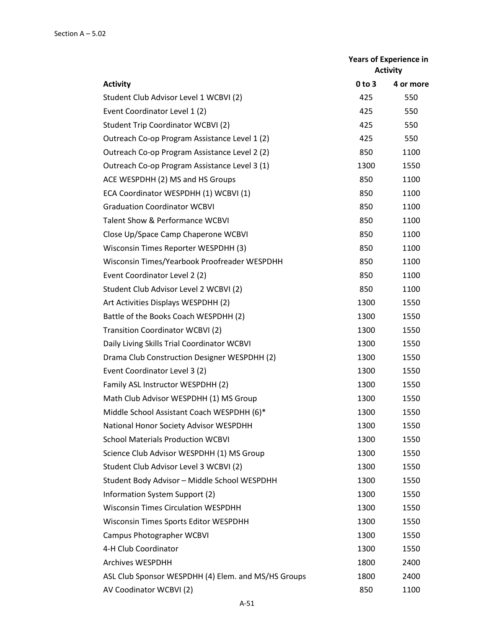| <b>Years of Experience in</b><br><b>Activity</b>    |            |           |  |
|-----------------------------------------------------|------------|-----------|--|
| <b>Activity</b>                                     | $0$ to $3$ | 4 or more |  |
| Student Club Advisor Level 1 WCBVI (2)              | 425        | 550       |  |
| Event Coordinator Level 1 (2)                       | 425        | 550       |  |
| <b>Student Trip Coordinator WCBVI (2)</b>           | 425        | 550       |  |
| Outreach Co-op Program Assistance Level 1 (2)       | 425        | 550       |  |
| Outreach Co-op Program Assistance Level 2 (2)       | 850        | 1100      |  |
| Outreach Co-op Program Assistance Level 3 (1)       | 1300       | 1550      |  |
| ACE WESPDHH (2) MS and HS Groups                    | 850        | 1100      |  |
| ECA Coordinator WESPDHH (1) WCBVI (1)               | 850        | 1100      |  |
| <b>Graduation Coordinator WCBVI</b>                 | 850        | 1100      |  |
| <b>Talent Show &amp; Performance WCBVI</b>          | 850        | 1100      |  |
| Close Up/Space Camp Chaperone WCBVI                 | 850        | 1100      |  |
| Wisconsin Times Reporter WESPDHH (3)                | 850        | 1100      |  |
| Wisconsin Times/Yearbook Proofreader WESPDHH        | 850        | 1100      |  |
| Event Coordinator Level 2 (2)                       | 850        | 1100      |  |
| Student Club Advisor Level 2 WCBVI (2)              | 850        | 1100      |  |
| Art Activities Displays WESPDHH (2)                 | 1300       | 1550      |  |
| Battle of the Books Coach WESPDHH (2)               | 1300       | 1550      |  |
| <b>Transition Coordinator WCBVI (2)</b>             | 1300       | 1550      |  |
| Daily Living Skills Trial Coordinator WCBVI         | 1300       | 1550      |  |
| Drama Club Construction Designer WESPDHH (2)        | 1300       | 1550      |  |
| Event Coordinator Level 3 (2)                       | 1300       | 1550      |  |
| Family ASL Instructor WESPDHH (2)                   | 1300       | 1550      |  |
| Math Club Advisor WESPDHH (1) MS Group              | 1300       | 1550      |  |
| Middle School Assistant Coach WESPDHH (6)*          | 1300       | 1550      |  |
| National Honor Society Advisor WESPDHH              | 1300       | 1550      |  |
| <b>School Materials Production WCBVI</b>            | 1300       | 1550      |  |
| Science Club Advisor WESPDHH (1) MS Group           | 1300       | 1550      |  |
| Student Club Advisor Level 3 WCBVI (2)              | 1300       | 1550      |  |
| Student Body Advisor - Middle School WESPDHH        | 1300       | 1550      |  |
| Information System Support (2)                      | 1300       | 1550      |  |
| <b>Wisconsin Times Circulation WESPDHH</b>          | 1300       | 1550      |  |
| Wisconsin Times Sports Editor WESPDHH               | 1300       | 1550      |  |
| Campus Photographer WCBVI                           | 1300       | 1550      |  |
| 4-H Club Coordinator                                | 1300       | 1550      |  |
| <b>Archives WESPDHH</b>                             | 1800       | 2400      |  |
| ASL Club Sponsor WESPDHH (4) Elem. and MS/HS Groups | 1800       | 2400      |  |
| AV Coodinator WCBVI (2)                             | 850        | 1100      |  |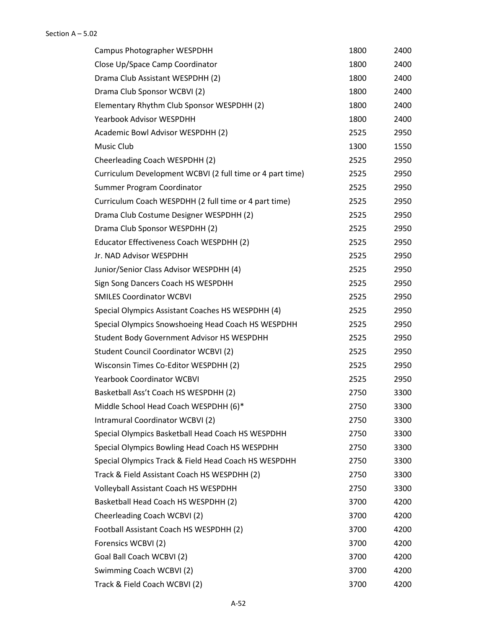| Campus Photographer WESPDHH                               | 1800 | 2400 |
|-----------------------------------------------------------|------|------|
| Close Up/Space Camp Coordinator                           | 1800 | 2400 |
| Drama Club Assistant WESPDHH (2)                          | 1800 | 2400 |
| Drama Club Sponsor WCBVI (2)                              | 1800 | 2400 |
| Elementary Rhythm Club Sponsor WESPDHH (2)                | 1800 | 2400 |
| Yearbook Advisor WESPDHH                                  | 1800 | 2400 |
| Academic Bowl Advisor WESPDHH (2)                         | 2525 | 2950 |
| Music Club                                                | 1300 | 1550 |
| Cheerleading Coach WESPDHH (2)                            | 2525 | 2950 |
| Curriculum Development WCBVI (2 full time or 4 part time) | 2525 | 2950 |
| Summer Program Coordinator                                | 2525 | 2950 |
| Curriculum Coach WESPDHH (2 full time or 4 part time)     | 2525 | 2950 |
| Drama Club Costume Designer WESPDHH (2)                   | 2525 | 2950 |
| Drama Club Sponsor WESPDHH (2)                            | 2525 | 2950 |
| Educator Effectiveness Coach WESPDHH (2)                  | 2525 | 2950 |
| Jr. NAD Advisor WESPDHH                                   | 2525 | 2950 |
| Junior/Senior Class Advisor WESPDHH (4)                   | 2525 | 2950 |
| Sign Song Dancers Coach HS WESPDHH                        | 2525 | 2950 |
| <b>SMILES Coordinator WCBVI</b>                           | 2525 | 2950 |
| Special Olympics Assistant Coaches HS WESPDHH (4)         | 2525 | 2950 |
| Special Olympics Snowshoeing Head Coach HS WESPDHH        | 2525 | 2950 |
| Student Body Government Advisor HS WESPDHH                | 2525 | 2950 |
| <b>Student Council Coordinator WCBVI (2)</b>              | 2525 | 2950 |
| Wisconsin Times Co-Editor WESPDHH (2)                     | 2525 | 2950 |
| <b>Yearbook Coordinator WCBVI</b>                         | 2525 | 2950 |
| Basketball Ass't Coach HS WESPDHH (2)                     | 2750 | 3300 |
| Middle School Head Coach WESPDHH (6)*                     | 2750 | 3300 |
| Intramural Coordinator WCBVI (2)                          | 2750 | 3300 |
| Special Olympics Basketball Head Coach HS WESPDHH         | 2750 | 3300 |
| Special Olympics Bowling Head Coach HS WESPDHH            | 2750 | 3300 |
| Special Olympics Track & Field Head Coach HS WESPDHH      | 2750 | 3300 |
| Track & Field Assistant Coach HS WESPDHH (2)              | 2750 | 3300 |
| Volleyball Assistant Coach HS WESPDHH                     | 2750 | 3300 |
| Basketball Head Coach HS WESPDHH (2)                      | 3700 | 4200 |
| Cheerleading Coach WCBVI (2)                              | 3700 | 4200 |
| Football Assistant Coach HS WESPDHH (2)                   | 3700 | 4200 |
| Forensics WCBVI (2)                                       | 3700 | 4200 |
| Goal Ball Coach WCBVI (2)                                 | 3700 | 4200 |
| Swimming Coach WCBVI (2)                                  | 3700 | 4200 |
| Track & Field Coach WCBVI (2)                             | 3700 | 4200 |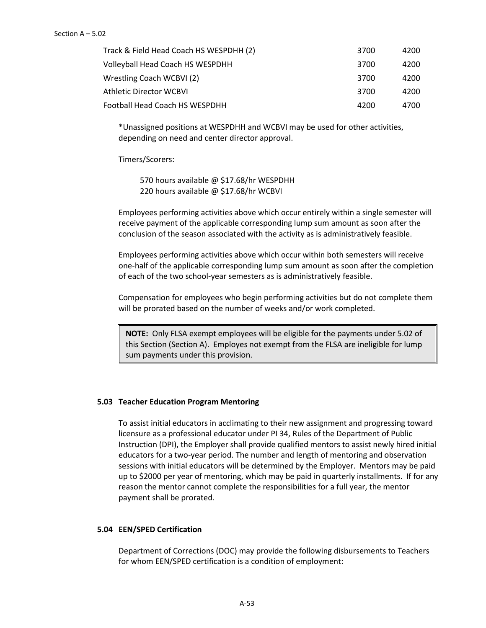| Track & Field Head Coach HS WESPDHH (2) | 3700 | 4200 |
|-----------------------------------------|------|------|
| Volleyball Head Coach HS WESPDHH        | 3700 | 4200 |
| Wrestling Coach WCBVI (2)               | 3700 | 4200 |
| Athletic Director WCBVI                 | 3700 | 4200 |
| Football Head Coach HS WESPDHH          | 4200 | 4700 |

\*Unassigned positions at WESPDHH and WCBVI may be used for other activities, depending on need and center director approval.

Timers/Scorers:

570 hours available @ \$17.68/hr WESPDHH 220 hours available @ \$17.68/hr WCBVI

Employees performing activities above which occur entirely within a single semester will receive payment of the applicable corresponding lump sum amount as soon after the conclusion of the season associated with the activity as is administratively feasible.

Employees performing activities above which occur within both semesters will receive one-half of the applicable corresponding lump sum amount as soon after the completion of each of the two school-year semesters as is administratively feasible.

Compensation for employees who begin performing activities but do not complete them will be prorated based on the number of weeks and/or work completed.

**NOTE:** Only FLSA exempt employees will be eligible for the payments under 5.02 of this Section (Section A). Employes not exempt from the FLSA are ineligible for lump sum payments under this provision.

### **5.03 Teacher Education Program Mentoring**

To assist initial educators in acclimating to their new assignment and progressing toward licensure as a professional educator under PI 34, Rules of the Department of Public Instruction (DPI), the Employer shall provide qualified mentors to assist newly hired initial educators for a two-year period. The number and length of mentoring and observation sessions with initial educators will be determined by the Employer. Mentors may be paid up to \$2000 per year of mentoring, which may be paid in quarterly installments. If for any reason the mentor cannot complete the responsibilities for a full year, the mentor payment shall be prorated.

### **5.04 EEN/SPED Certification**

Department of Corrections (DOC) may provide the following disbursements to Teachers for whom EEN/SPED certification is a condition of employment: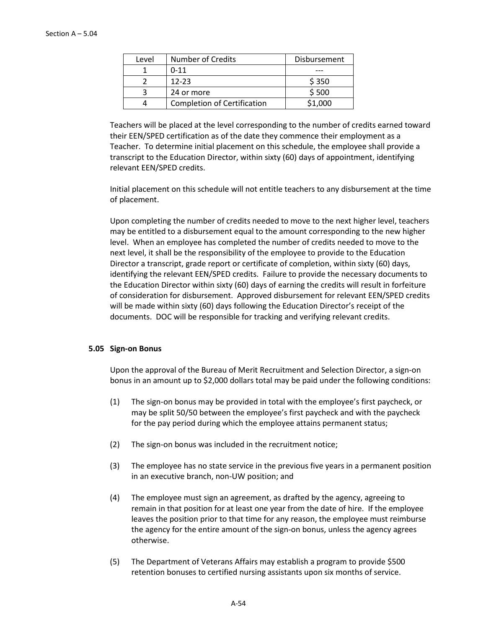| Level | <b>Number of Credits</b>           | Disbursement |
|-------|------------------------------------|--------------|
|       | $0 - 11$                           |              |
|       | $12 - 23$                          | \$350        |
|       | 24 or more                         | \$500        |
|       | <b>Completion of Certification</b> | \$1,000      |

Teachers will be placed at the level corresponding to the number of credits earned toward their EEN/SPED certification as of the date they commence their employment as a Teacher. To determine initial placement on this schedule, the employee shall provide a transcript to the Education Director, within sixty (60) days of appointment, identifying relevant EEN/SPED credits.

Initial placement on this schedule will not entitle teachers to any disbursement at the time of placement.

Upon completing the number of credits needed to move to the next higher level, teachers may be entitled to a disbursement equal to the amount corresponding to the new higher level. When an employee has completed the number of credits needed to move to the next level, it shall be the responsibility of the employee to provide to the Education Director a transcript, grade report or certificate of completion, within sixty (60) days, identifying the relevant EEN/SPED credits. Failure to provide the necessary documents to the Education Director within sixty (60) days of earning the credits will result in forfeiture of consideration for disbursement. Approved disbursement for relevant EEN/SPED credits will be made within sixty (60) days following the Education Director's receipt of the documents. DOC will be responsible for tracking and verifying relevant credits.

### **5.05 Sign-on Bonus**

Upon the approval of the Bureau of Merit Recruitment and Selection Director, a sign-on bonus in an amount up to \$2,000 dollars total may be paid under the following conditions:

- (1) The sign-on bonus may be provided in total with the employee's first paycheck, or may be split 50/50 between the employee's first paycheck and with the paycheck for the pay period during which the employee attains permanent status;
- (2) The sign-on bonus was included in the recruitment notice;
- (3) The employee has no state service in the previous five years in a permanent position in an executive branch, non-UW position; and
- (4) The employee must sign an agreement, as drafted by the agency, agreeing to remain in that position for at least one year from the date of hire. If the employee leaves the position prior to that time for any reason, the employee must reimburse the agency for the entire amount of the sign-on bonus, unless the agency agrees otherwise.
- (5) The Department of Veterans Affairs may establish a program to provide \$500 retention bonuses to certified nursing assistants upon six months of service.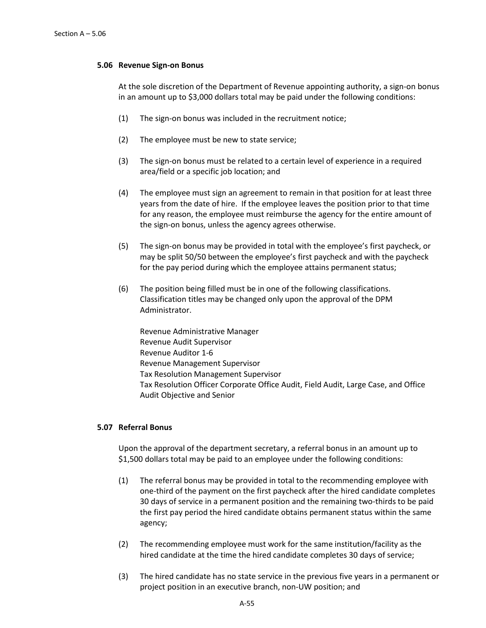### **5.06 Revenue Sign-on Bonus**

At the sole discretion of the Department of Revenue appointing authority, a sign-on bonus in an amount up to \$3,000 dollars total may be paid under the following conditions:

- (1) The sign-on bonus was included in the recruitment notice;
- (2) The employee must be new to state service;
- (3) The sign-on bonus must be related to a certain level of experience in a required area/field or a specific job location; and
- (4) The employee must sign an agreement to remain in that position for at least three years from the date of hire. If the employee leaves the position prior to that time for any reason, the employee must reimburse the agency for the entire amount of the sign-on bonus, unless the agency agrees otherwise.
- (5) The sign-on bonus may be provided in total with the employee's first paycheck, or may be split 50/50 between the employee's first paycheck and with the paycheck for the pay period during which the employee attains permanent status;
- (6) The position being filled must be in one of the following classifications. Classification titles may be changed only upon the approval of the DPM Administrator.

Revenue Administrative Manager Revenue Audit Supervisor Revenue Auditor 1-6 Revenue Management Supervisor Tax Resolution Management Supervisor Tax Resolution Officer Corporate Office Audit, Field Audit, Large Case, and Office Audit Objective and Senior

### **5.07 Referral Bonus**

Upon the approval of the department secretary, a referral bonus in an amount up to \$1,500 dollars total may be paid to an employee under the following conditions:

- (1) The referral bonus may be provided in total to the recommending employee with one-third of the payment on the first paycheck after the hired candidate completes 30 days of service in a permanent position and the remaining two-thirds to be paid the first pay period the hired candidate obtains permanent status within the same agency;
- (2) The recommending employee must work for the same institution/facility as the hired candidate at the time the hired candidate completes 30 days of service;
- (3) The hired candidate has no state service in the previous five years in a permanent or project position in an executive branch, non-UW position; and